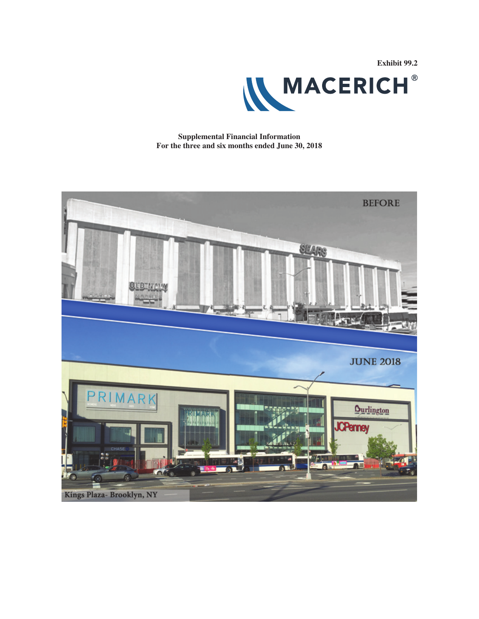

**Supplemental Financial Information For the three and six months ended June 30, 2018**

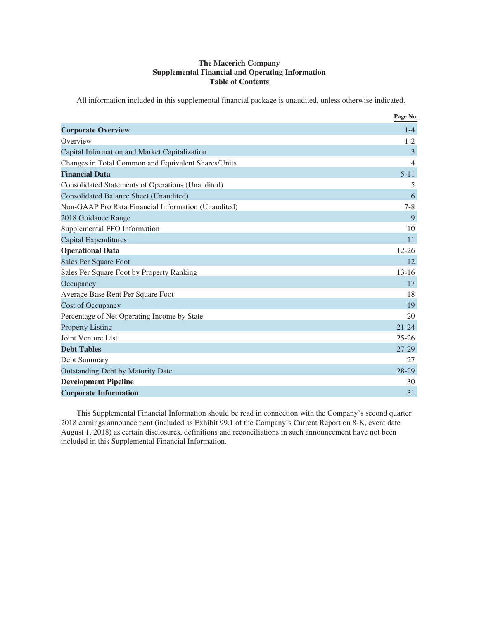### **The Macerich Company Supplemental Financial and Operating Information Table of Contents**

All information included in this supplemental financial package is unaudited, unless otherwise indicated.

|                                                     | Page No.       |
|-----------------------------------------------------|----------------|
| <b>Corporate Overview</b>                           | $1 - 4$        |
| Overview                                            | $1 - 2$        |
| Capital Information and Market Capitalization       | 3              |
| Changes in Total Common and Equivalent Shares/Units | $\overline{4}$ |
| <b>Financial Data</b>                               | $5 - 11$       |
| Consolidated Statements of Operations (Unaudited)   | 5              |
| <b>Consolidated Balance Sheet (Unaudited)</b>       | 6              |
| Non-GAAP Pro Rata Financial Information (Unaudited) | $7 - 8$        |
| 2018 Guidance Range                                 | 9              |
| Supplemental FFO Information                        | 10             |
| <b>Capital Expenditures</b>                         | 11             |
| <b>Operational Data</b>                             | $12 - 26$      |
| Sales Per Square Foot                               | 12             |
| Sales Per Square Foot by Property Ranking           | $13 - 16$      |
| Occupancy                                           | 17             |
| Average Base Rent Per Square Foot                   | 18             |
| <b>Cost of Occupancy</b>                            | 19             |
| Percentage of Net Operating Income by State         | 20             |
| <b>Property Listing</b>                             | $21 - 24$      |
| <b>Joint Venture List</b>                           | $25 - 26$      |
| <b>Debt Tables</b>                                  | $27 - 29$      |
| Debt Summary                                        | 27             |
| <b>Outstanding Debt by Maturity Date</b>            | 28-29          |
| <b>Development Pipeline</b>                         | 30             |
| <b>Corporate Information</b>                        | 31             |

This Supplemental Financial Information should be read in connection with the Company's second quarter 2018 earnings announcement (included as Exhibit 99.1 of the Company's Current Report on 8-K, event date August 1, 2018) as certain disclosures, definitions and reconciliations in such announcement have not been included in this Supplemental Financial Information.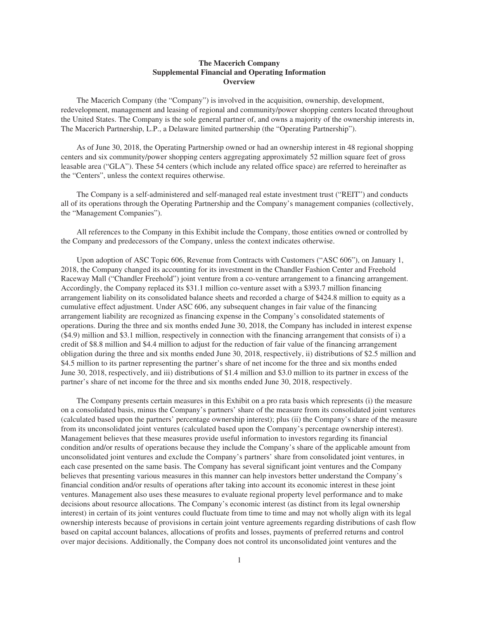### **The Macerich Company Supplemental Financial and Operating Information Overview**

The Macerich Company (the "Company") is involved in the acquisition, ownership, development, redevelopment, management and leasing of regional and community/power shopping centers located throughout the United States. The Company is the sole general partner of, and owns a majority of the ownership interests in, The Macerich Partnership, L.P., a Delaware limited partnership (the "Operating Partnership").

As of June 30, 2018, the Operating Partnership owned or had an ownership interest in 48 regional shopping centers and six community/power shopping centers aggregating approximately 52 million square feet of gross leasable area ("GLA"). These 54 centers (which include any related office space) are referred to hereinafter as the "Centers", unless the context requires otherwise.

The Company is a self-administered and self-managed real estate investment trust ("REIT") and conducts all of its operations through the Operating Partnership and the Company's management companies (collectively, the "Management Companies").

All references to the Company in this Exhibit include the Company, those entities owned or controlled by the Company and predecessors of the Company, unless the context indicates otherwise.

Upon adoption of ASC Topic 606, Revenue from Contracts with Customers ("ASC 606"), on January 1, 2018, the Company changed its accounting for its investment in the Chandler Fashion Center and Freehold Raceway Mall ("Chandler Freehold") joint venture from a co-venture arrangement to a financing arrangement. Accordingly, the Company replaced its \$31.1 million co-venture asset with a \$393.7 million financing arrangement liability on its consolidated balance sheets and recorded a charge of \$424.8 million to equity as a cumulative effect adjustment. Under ASC 606, any subsequent changes in fair value of the financing arrangement liability are recognized as financing expense in the Company's consolidated statements of operations. During the three and six months ended June 30, 2018, the Company has included in interest expense (\$4.9) million and \$3.1 million, respectively in connection with the financing arrangement that consists of i) a credit of \$8.8 million and \$4.4 million to adjust for the reduction of fair value of the financing arrangement obligation during the three and six months ended June 30, 2018, respectively, ii) distributions of \$2.5 million and \$4.5 million to its partner representing the partner's share of net income for the three and six months ended June 30, 2018, respectively, and iii) distributions of \$1.4 million and \$3.0 million to its partner in excess of the partner's share of net income for the three and six months ended June 30, 2018, respectively.

The Company presents certain measures in this Exhibit on a pro rata basis which represents (i) the measure on a consolidated basis, minus the Company's partners' share of the measure from its consolidated joint ventures (calculated based upon the partners' percentage ownership interest); plus (ii) the Company's share of the measure from its unconsolidated joint ventures (calculated based upon the Company's percentage ownership interest). Management believes that these measures provide useful information to investors regarding its financial condition and/or results of operations because they include the Company's share of the applicable amount from unconsolidated joint ventures and exclude the Company's partners' share from consolidated joint ventures, in each case presented on the same basis. The Company has several significant joint ventures and the Company believes that presenting various measures in this manner can help investors better understand the Company's financial condition and/or results of operations after taking into account its economic interest in these joint ventures. Management also uses these measures to evaluate regional property level performance and to make decisions about resource allocations. The Company's economic interest (as distinct from its legal ownership interest) in certain of its joint ventures could fluctuate from time to time and may not wholly align with its legal ownership interests because of provisions in certain joint venture agreements regarding distributions of cash flow based on capital account balances, allocations of profits and losses, payments of preferred returns and control over major decisions. Additionally, the Company does not control its unconsolidated joint ventures and the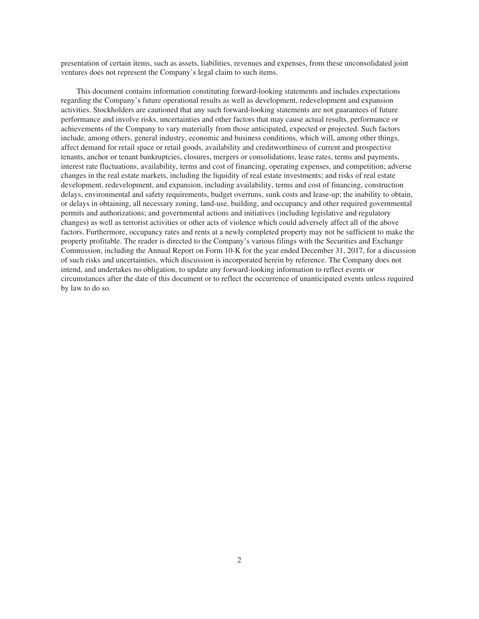presentation of certain items, such as assets, liabilities, revenues and expenses, from these unconsolidated joint ventures does not represent the Company's legal claim to such items.

This document contains information constituting forward-looking statements and includes expectations regarding the Company's future operational results as well as development, redevelopment and expansion activities. Stockholders are cautioned that any such forward-looking statements are not guarantees of future performance and involve risks, uncertainties and other factors that may cause actual results, performance or achievements of the Company to vary materially from those anticipated, expected or projected. Such factors include, among others, general industry, economic and business conditions, which will, among other things, affect demand for retail space or retail goods, availability and creditworthiness of current and prospective tenants, anchor or tenant bankruptcies, closures, mergers or consolidations, lease rates, terms and payments, interest rate fluctuations, availability, terms and cost of financing, operating expenses, and competition; adverse changes in the real estate markets, including the liquidity of real estate investments; and risks of real estate development, redevelopment, and expansion, including availability, terms and cost of financing, construction delays, environmental and safety requirements, budget overruns, sunk costs and lease-up; the inability to obtain, or delays in obtaining, all necessary zoning, land-use, building, and occupancy and other required governmental permits and authorizations; and governmental actions and initiatives (including legislative and regulatory changes) as well as terrorist activities or other acts of violence which could adversely affect all of the above factors. Furthermore, occupancy rates and rents at a newly completed property may not be sufficient to make the property profitable. The reader is directed to the Company's various filings with the Securities and Exchange Commission, including the Annual Report on Form 10-K for the year ended December 31, 2017, for a discussion of such risks and uncertainties, which discussion is incorporated herein by reference. The Company does not intend, and undertakes no obligation, to update any forward-looking information to reflect events or circumstances after the date of this document or to reflect the occurrence of unanticipated events unless required by law to do so.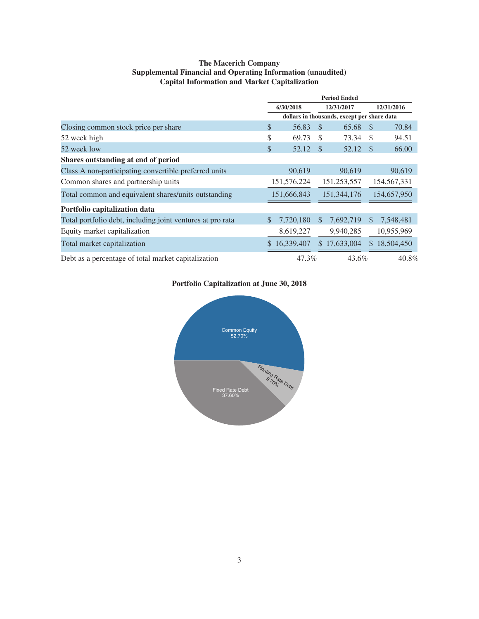### **The Macerich Company Supplemental Financial and Operating Information (unaudited) Capital Information and Market Capitalization**

|                                                            | <b>Period Ended</b>                         |              |               |               |               |              |  |
|------------------------------------------------------------|---------------------------------------------|--------------|---------------|---------------|---------------|--------------|--|
|                                                            |                                             | 6/30/2018    |               | 12/31/2017    |               | 12/31/2016   |  |
|                                                            | dollars in thousands, except per share data |              |               |               |               |              |  |
| Closing common stock price per share                       | \$                                          | 56.83        | - \$          | 65.68         | -S            | 70.84        |  |
| 52 week high                                               | \$                                          | 69.73        | $\mathcal{S}$ | 73.34         | <sup>\$</sup> | 94.51        |  |
| 52 week low                                                | \$                                          | 52.12 \$     |               | 52.12         | - \$          | 66.00        |  |
| Shares outstanding at end of period                        |                                             |              |               |               |               |              |  |
| Class A non-participating convertible preferred units      |                                             | 90,619       |               | 90,619        |               | 90,619       |  |
| Common shares and partnership units                        |                                             | 151,576,224  |               | 151,253,557   |               | 154,567,331  |  |
| Total common and equivalent shares/units outstanding       |                                             | 151,666,843  |               | 151, 344, 176 |               | 154,657,950  |  |
| Portfolio capitalization data                              |                                             |              |               |               |               |              |  |
| Total portfolio debt, including joint ventures at pro rata | <sup>\$</sup>                               | 7,720,180    | \$.           | 7,692,719     | <sup>\$</sup> | 7,548,481    |  |
| Equity market capitalization                               |                                             | 8,619,227    |               | 9,940,285     |               | 10,955,969   |  |
| Total market capitalization                                |                                             | \$16,339,407 |               | \$17,633,004  |               | \$18,504,450 |  |
| Debt as a percentage of total market capitalization        |                                             | 47.3%        |               | 43.6%         |               | 40.8%        |  |

### **Portfolio Capitalization at June 30, 2018**

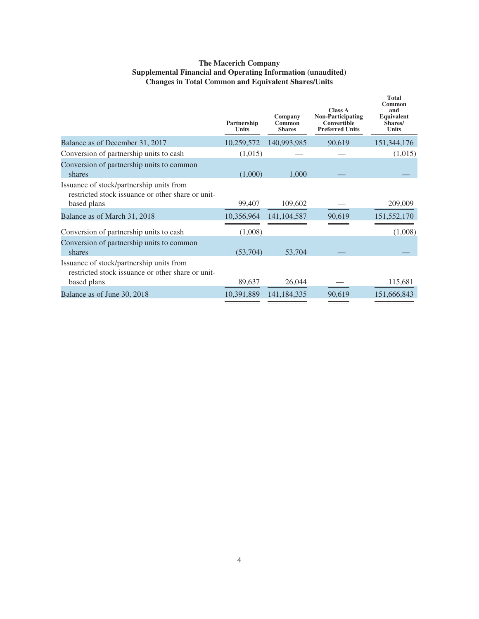### **The Macerich Company Supplemental Financial and Operating Information (unaudited) Changes in Total Common and Equivalent Shares/Units**

|                                                                                                              | Partnership<br><b>Units</b> | Company<br>Common<br><b>Shares</b> | <b>Class A</b><br><b>Non-Participating</b><br><b>Convertible</b><br><b>Preferred Units</b> | Total<br>Common<br>and<br>Equivalent<br>Shares/<br><b>Units</b> |
|--------------------------------------------------------------------------------------------------------------|-----------------------------|------------------------------------|--------------------------------------------------------------------------------------------|-----------------------------------------------------------------|
| Balance as of December 31, 2017                                                                              | 10,259,572                  | 140,993,985                        | 90,619                                                                                     | 151,344,176                                                     |
| Conversion of partnership units to cash                                                                      | (1,015)                     |                                    |                                                                                            | (1,015)                                                         |
| Conversion of partnership units to common<br>shares                                                          | (1,000)                     | 1,000                              |                                                                                            |                                                                 |
| Issuance of stock/partnership units from<br>restricted stock issuance or other share or unit-<br>based plans | 99,407                      | 109,602                            |                                                                                            | 209,009                                                         |
| Balance as of March 31, 2018                                                                                 | 10,356,964                  | 141, 104, 587                      | 90,619                                                                                     | 151,552,170                                                     |
| Conversion of partnership units to cash                                                                      | (1,008)                     |                                    |                                                                                            | (1,008)                                                         |
| Conversion of partnership units to common<br>shares                                                          | (53,704)                    | 53,704                             |                                                                                            |                                                                 |
| Issuance of stock/partnership units from<br>restricted stock issuance or other share or unit-<br>based plans | 89,637                      | 26,044                             |                                                                                            | 115,681                                                         |
| Balance as of June 30, 2018                                                                                  | 10,391,889                  | 141,184,335                        | 90,619                                                                                     | 151,666,843                                                     |
|                                                                                                              |                             |                                    |                                                                                            |                                                                 |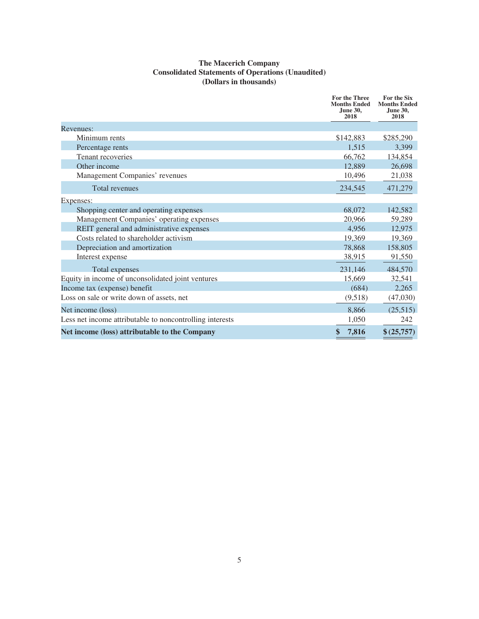### **The Macerich Company Consolidated Statements of Operations (Unaudited) (Dollars in thousands)**

|                                                          | <b>For the Three</b><br><b>Months Ended</b><br><b>June 30,</b><br>2018 | For the Six<br><b>Months Ended</b><br>June 30,<br>2018 |
|----------------------------------------------------------|------------------------------------------------------------------------|--------------------------------------------------------|
| Revenues:                                                |                                                                        |                                                        |
| Minimum rents                                            | \$142,883                                                              | \$285,290                                              |
| Percentage rents                                         | 1,515                                                                  | 3,399                                                  |
| Tenant recoveries                                        | 66,762                                                                 | 134,854                                                |
| Other income                                             | 12,889                                                                 | 26,698                                                 |
| Management Companies' revenues                           | 10,496                                                                 | 21,038                                                 |
| <b>Total revenues</b>                                    | 234,545                                                                | 471,279                                                |
| Expenses:                                                |                                                                        |                                                        |
| Shopping center and operating expenses                   | 68,072                                                                 | 142,582                                                |
| Management Companies' operating expenses                 | 20,966                                                                 | 59,289                                                 |
| REIT general and administrative expenses                 | 4,956                                                                  | 12,975                                                 |
| Costs related to shareholder activism                    | 19,369                                                                 | 19,369                                                 |
| Depreciation and amortization                            | 78,868                                                                 | 158,805                                                |
| Interest expense                                         | 38,915                                                                 | 91,550                                                 |
| Total expenses                                           | 231,146                                                                | 484,570                                                |
| Equity in income of unconsolidated joint ventures        | 15,669                                                                 | 32,541                                                 |
| Income tax (expense) benefit                             | (684)                                                                  | 2,265                                                  |
| Loss on sale or write down of assets, net                | (9,518)                                                                | (47,030)                                               |
| Net income (loss)                                        | 8,866                                                                  | (25,515)                                               |
| Less net income attributable to noncontrolling interests | 1,050                                                                  | 242                                                    |
| Net income (loss) attributable to the Company            | \$<br>7,816                                                            | \$(25,757)                                             |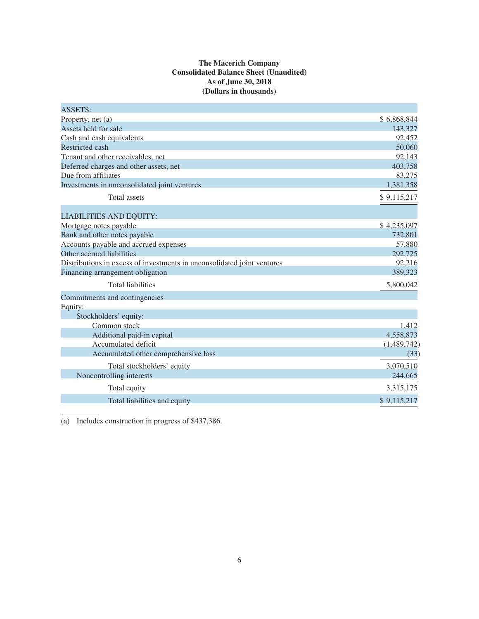### **The Macerich Company Consolidated Balance Sheet (Unaudited) As of June 30, 2018 (Dollars in thousands)**

| <b>ASSETS:</b>                                                          |             |
|-------------------------------------------------------------------------|-------------|
| Property, net (a)                                                       | \$6,868,844 |
| Assets held for sale                                                    | 143,327     |
| Cash and cash equivalents                                               | 92,452      |
| <b>Restricted cash</b>                                                  | 50,060      |
| Tenant and other receivables, net                                       | 92,143      |
| Deferred charges and other assets, net                                  | 403,758     |
| Due from affiliates                                                     | 83,275      |
| Investments in unconsolidated joint ventures                            | 1,381,358   |
| <b>Total</b> assets                                                     | \$9,115,217 |
| <b>LIABILITIES AND EQUITY:</b>                                          |             |
| Mortgage notes payable                                                  | \$4,235,097 |
| Bank and other notes payable                                            | 732,801     |
| Accounts payable and accrued expenses                                   | 57,880      |
| Other accrued liabilities                                               | 292,725     |
| Distributions in excess of investments in unconsolidated joint ventures | 92,216      |
| Financing arrangement obligation                                        | 389,323     |
| <b>Total liabilities</b>                                                | 5,800,042   |
| Commitments and contingencies                                           |             |
| Equity:                                                                 |             |
| Stockholders' equity:                                                   |             |
| Common stock                                                            | 1,412       |
| Additional paid-in capital                                              | 4,558,873   |
| Accumulated deficit                                                     | (1,489,742) |
| Accumulated other comprehensive loss                                    | (33)        |
| Total stockholders' equity                                              | 3,070,510   |
| Noncontrolling interests                                                | 244,665     |
| Total equity                                                            | 3,315,175   |
| Total liabilities and equity                                            | \$9,115,217 |

(a) Includes construction in progress of \$437,386.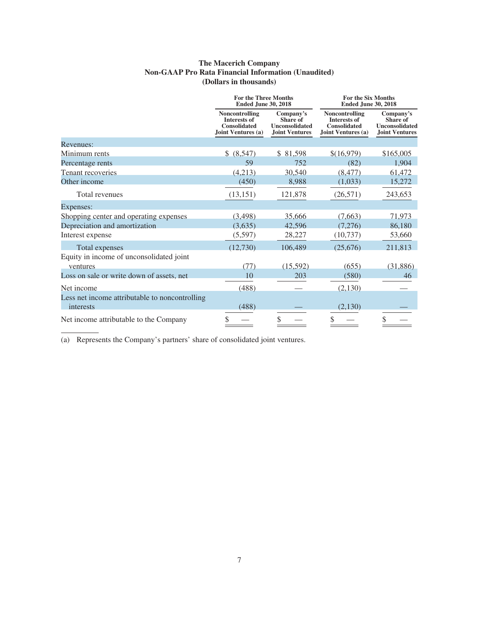### **The Macerich Company Non-GAAP Pro Rata Financial Information (Unaudited) (Dollars in thousands)**

|                                                | <b>For the Three Months</b><br><b>Ended June 30, 2018</b>                          |                                                                                | <b>For the Six Months</b><br><b>Ended June 30, 2018</b>                                   |                                                                                |  |
|------------------------------------------------|------------------------------------------------------------------------------------|--------------------------------------------------------------------------------|-------------------------------------------------------------------------------------------|--------------------------------------------------------------------------------|--|
|                                                | Noncontrolling<br><b>Interests of</b><br><b>Consolidated</b><br>Joint Ventures (a) | Company's<br><b>Share of</b><br><b>Unconsolidated</b><br><b>Joint Ventures</b> | <b>Noncontrolling</b><br><b>Interests of</b><br><b>Consolidated</b><br>Joint Ventures (a) | Company's<br><b>Share of</b><br><b>Unconsolidated</b><br><b>Joint Ventures</b> |  |
| Revenues:                                      |                                                                                    |                                                                                |                                                                                           |                                                                                |  |
| Minimum rents                                  | \$ (8,547)                                                                         | \$81,598                                                                       | \$(16,979)                                                                                | \$165,005                                                                      |  |
| Percentage rents                               | 59                                                                                 | 752                                                                            | (82)                                                                                      | 1,904                                                                          |  |
| Tenant recoveries                              | (4,213)                                                                            | 30,540                                                                         | (8, 477)                                                                                  | 61,472                                                                         |  |
| Other income                                   | (450)                                                                              | 8,988                                                                          | (1,033)                                                                                   | 15,272                                                                         |  |
| Total revenues                                 | (13, 151)                                                                          | 121,878                                                                        | (26, 571)                                                                                 | 243,653                                                                        |  |
| Expenses:                                      |                                                                                    |                                                                                |                                                                                           |                                                                                |  |
| Shopping center and operating expenses         | (3, 498)                                                                           | 35,666                                                                         | (7,663)                                                                                   | 71,973                                                                         |  |
| Depreciation and amortization                  | (3,635)                                                                            | 42,596                                                                         | (7,276)                                                                                   | 86,180                                                                         |  |
| Interest expense                               | (5,597)                                                                            | 28,227                                                                         | (10, 737)                                                                                 | 53,660                                                                         |  |
| Total expenses                                 | (12,730)                                                                           | 106,489                                                                        | (25,676)                                                                                  | 211,813                                                                        |  |
| Equity in income of unconsolidated joint       |                                                                                    |                                                                                |                                                                                           |                                                                                |  |
| ventures                                       | (77)                                                                               | (15,592)                                                                       | (655)                                                                                     | (31, 886)                                                                      |  |
| Loss on sale or write down of assets, net      | 10                                                                                 | 203                                                                            | (580)                                                                                     | 46                                                                             |  |
| Net income                                     | (488)                                                                              |                                                                                | (2,130)                                                                                   |                                                                                |  |
| Less net income attributable to noncontrolling |                                                                                    |                                                                                |                                                                                           |                                                                                |  |
| interests                                      | (488)                                                                              |                                                                                | (2,130)                                                                                   |                                                                                |  |
| Net income attributable to the Company         |                                                                                    | \$                                                                             | S                                                                                         | \$                                                                             |  |

(a) Represents the Company's partners' share of consolidated joint ventures.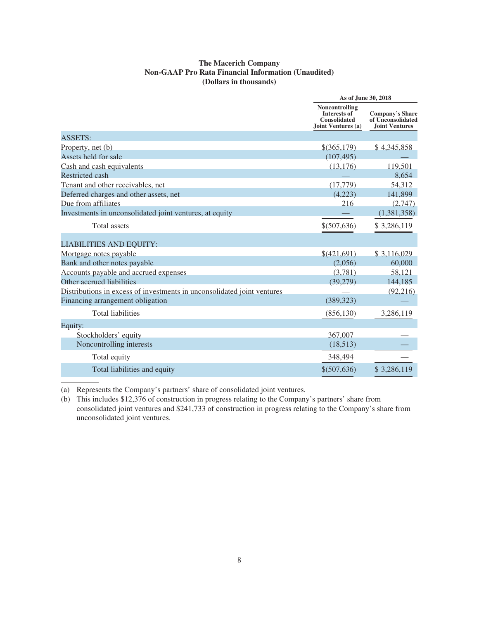### **The Macerich Company Non-GAAP Pro Rata Financial Information (Unaudited) (Dollars in thousands)**

|                                                                         | As of June 30, 2018                                                                |                                                                      |  |
|-------------------------------------------------------------------------|------------------------------------------------------------------------------------|----------------------------------------------------------------------|--|
|                                                                         | Noncontrolling<br><b>Interests of</b><br><b>Consolidated</b><br>Joint Ventures (a) | <b>Company's Share</b><br>of Unconsolidated<br><b>Joint Ventures</b> |  |
| <b>ASSETS:</b>                                                          |                                                                                    |                                                                      |  |
| Property, net (b)                                                       | $$$ (365,179)                                                                      | \$4,345,858                                                          |  |
| Assets held for sale                                                    | (107, 495)                                                                         |                                                                      |  |
| Cash and cash equivalents                                               | (13, 176)                                                                          | 119,501                                                              |  |
| <b>Restricted cash</b>                                                  |                                                                                    | 8,654                                                                |  |
| Tenant and other receivables, net                                       | (17, 779)                                                                          | 54,312                                                               |  |
| Deferred charges and other assets, net                                  | (4,223)                                                                            | 141,899                                                              |  |
| Due from affiliates                                                     | 216                                                                                | (2,747)                                                              |  |
| Investments in unconsolidated joint ventures, at equity                 |                                                                                    | (1,381,358)                                                          |  |
| <b>Total</b> assets                                                     | \$(507,636)                                                                        | \$3,286,119                                                          |  |
| <b>LIABILITIES AND EQUITY:</b>                                          |                                                                                    |                                                                      |  |
| Mortgage notes payable                                                  | \$(421,691)                                                                        | \$3,116,029                                                          |  |
| Bank and other notes payable                                            | (2,056)                                                                            | 60,000                                                               |  |
| Accounts payable and accrued expenses                                   | (3,781)                                                                            | 58,121                                                               |  |
| Other accrued liabilities                                               | (39,279)                                                                           | 144,185                                                              |  |
| Distributions in excess of investments in unconsolidated joint ventures |                                                                                    | (92, 216)                                                            |  |
| Financing arrangement obligation                                        | (389, 323)                                                                         |                                                                      |  |
| <b>Total liabilities</b>                                                | (856, 130)                                                                         | 3,286,119                                                            |  |
| Equity:                                                                 |                                                                                    |                                                                      |  |
| Stockholders' equity                                                    | 367,007                                                                            |                                                                      |  |
| Noncontrolling interests                                                | (18,513)                                                                           |                                                                      |  |
| Total equity                                                            | 348,494                                                                            |                                                                      |  |
| Total liabilities and equity                                            | \$ (507,636)                                                                       | \$3,286,119                                                          |  |

(a) Represents the Company's partners' share of consolidated joint ventures.

(b) This includes \$12,376 of construction in progress relating to the Company's partners' share from consolidated joint ventures and \$241,733 of construction in progress relating to the Company's share from unconsolidated joint ventures.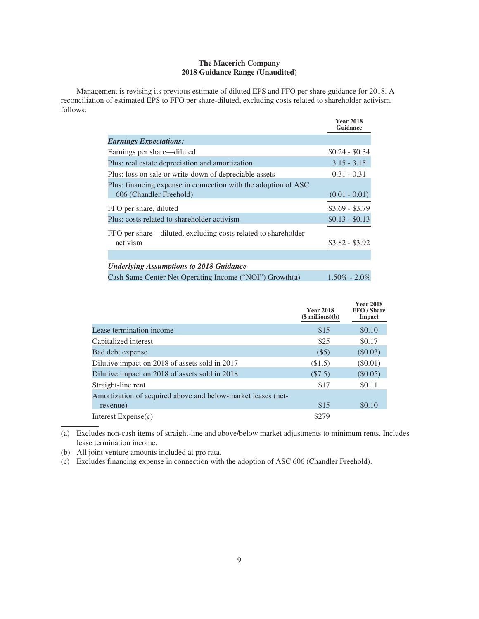### **The Macerich Company 2018 Guidance Range (Unaudited)**

Management is revising its previous estimate of diluted EPS and FFO per share guidance for 2018. A reconciliation of estimated EPS to FFO per share-diluted, excluding costs related to shareholder activism, follows:

|                                                                                           | <b>Year 2018</b><br>Guidance |
|-------------------------------------------------------------------------------------------|------------------------------|
| <b>Earnings Expectations:</b>                                                             |                              |
| Earnings per share—diluted                                                                | $$0.24 - $0.34$              |
| Plus: real estate depreciation and amortization                                           | $3.15 - 3.15$                |
| Plus: loss on sale or write-down of depreciable assets                                    | $0.31 - 0.31$                |
| Plus: financing expense in connection with the adoption of ASC<br>606 (Chandler Freehold) | $(0.01 - 0.01)$              |
| FFO per share, diluted                                                                    | $$3.69 - $3.79$              |
| Plus: costs related to shareholder activism                                               | $$0.13 - $0.13$              |
| FFO per share—diluted, excluding costs related to shareholder<br>activism                 | $$3.82 - $3.92$              |
|                                                                                           |                              |
| <b>Underlying Assumptions to 2018 Guidance</b>                                            |                              |
| Cash Same Center Net Operating Income ("NOI") Growth(a)                                   | $1.50\% - 2.0\%$             |

|                                                                          | <b>Year 2018</b><br>$($$ millions $)(b)$ | <b>Year 2018</b><br>FFO / Share<br>Impact |
|--------------------------------------------------------------------------|------------------------------------------|-------------------------------------------|
| Lease termination income                                                 | \$15                                     | \$0.10                                    |
| Capitalized interest                                                     | \$25                                     | \$0.17                                    |
| Bad debt expense                                                         | $($ \$5)                                 | $(\$0.03)$                                |
| Dilutive impact on 2018 of assets sold in 2017                           | (\$1.5)                                  | $(\$0.01)$                                |
| Dilutive impact on 2018 of assets sold in 2018                           | (S7.5)                                   | $(\$0.05)$                                |
| Straight-line rent                                                       | \$17                                     | \$0.11                                    |
| Amortization of acquired above and below-market leases (net-<br>revenue) | \$15                                     | \$0.10                                    |
| Interest Expense(c)                                                      | \$279                                    |                                           |

(a) Excludes non-cash items of straight-line and above/below market adjustments to minimum rents. Includes lease termination income.

(b) All joint venture amounts included at pro rata.

(c) Excludes financing expense in connection with the adoption of ASC 606 (Chandler Freehold).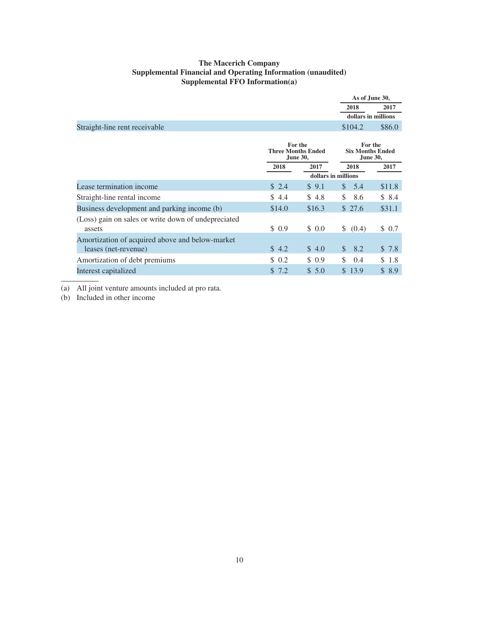### **The Macerich Company Supplemental Financial and Operating Information (unaudited) Supplemental FFO Information(a)**

|                                                                         |                                                         |        | As of June 30,                                        |        |
|-------------------------------------------------------------------------|---------------------------------------------------------|--------|-------------------------------------------------------|--------|
|                                                                         |                                                         |        | 2018                                                  | 2017   |
|                                                                         |                                                         |        | dollars in millions                                   |        |
| Straight-line rent receivable                                           |                                                         |        | \$104.2                                               | \$86.0 |
|                                                                         | For the<br><b>Three Months Ended</b><br><b>June 30,</b> |        | For the<br><b>Six Months Ended</b><br><b>June 30,</b> |        |
|                                                                         | 2018                                                    | 2017   | 2018                                                  | 2017   |
|                                                                         |                                                         |        | dollars in millions                                   |        |
| Lease termination income                                                | \$2.4                                                   | \$9.1  | 5.4<br><sup>S</sup>                                   | \$11.8 |
| Straight-line rental income                                             | \$4.4                                                   | \$4.8  | \$<br>8.6                                             | \$8.4  |
| Business development and parking income (b)                             | \$14.0                                                  | \$16.3 | \$27.6                                                | \$31.1 |
| (Loss) gain on sales or write down of undepreciated<br>assets           | \$ 0.9                                                  | \$0.0  | \$ (0.4)                                              | \$0.7  |
| Amortization of acquired above and below-market<br>leases (net-revenue) | \$4.2                                                   | \$4.0  | $\$\$<br>8.2                                          | \$7.8  |
| Amortization of debt premiums                                           | \$0.2                                                   | \$0.9  | \$<br>0.4                                             | \$ 1.8 |
| Interest capitalized                                                    | \$7.2                                                   | \$5.0  | \$13.9                                                | \$8.9  |

(a) All joint venture amounts included at pro rata.

(b) Included in other income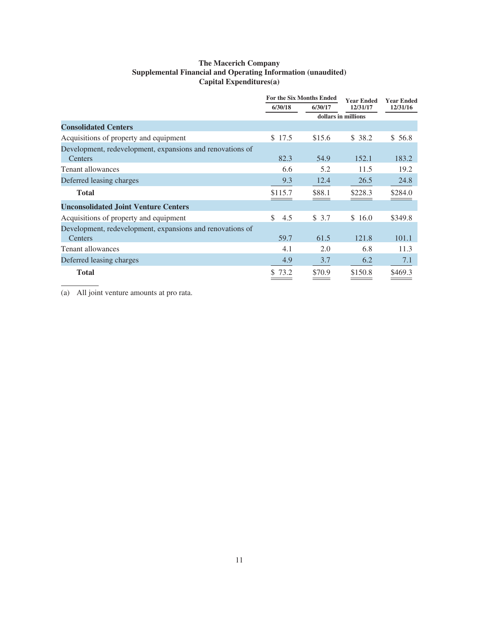### **The Macerich Company Supplemental Financial and Operating Information (unaudited) Capital Expenditures(a)**

|                                                           | <b>For the Six Months Ended</b> |         | <b>Year Ended</b>   | <b>Year Ended</b> |
|-----------------------------------------------------------|---------------------------------|---------|---------------------|-------------------|
|                                                           | 6/30/18                         | 6/30/17 | 12/31/17            | 12/31/16          |
|                                                           |                                 |         | dollars in millions |                   |
| <b>Consolidated Centers</b>                               |                                 |         |                     |                   |
| Acquisitions of property and equipment                    | \$17.5                          | \$15.6  | \$38.2              | \$56.8            |
| Development, redevelopment, expansions and renovations of |                                 |         |                     |                   |
| <b>Centers</b>                                            | 82.3                            | 54.9    | 152.1               | 183.2             |
| Tenant allowances                                         | 6.6                             | 5.2     | 11.5                | 19.2              |
| Deferred leasing charges                                  | 9.3                             | 12.4    | 26.5                | 24.8              |
| <b>Total</b>                                              | \$115.7                         | \$88.1  | \$228.3             | \$284.0           |
| <b>Unconsolidated Joint Venture Centers</b>               |                                 |         |                     |                   |
| Acquisitions of property and equipment                    | \$<br>4.5                       | \$3.7   | \$16.0              | \$349.8           |
| Development, redevelopment, expansions and renovations of |                                 |         |                     |                   |
| Centers                                                   | 59.7                            | 61.5    | 121.8               | 101.1             |
| <b>Tenant allowances</b>                                  | 4.1                             | 2.0     | 6.8                 | 11.3              |
| Deferred leasing charges                                  | 4.9                             | 3.7     | 6.2                 | 7.1               |
| <b>Total</b>                                              | 73.2                            | \$70.9  | \$150.8             | \$469.3           |

(a) All joint venture amounts at pro rata.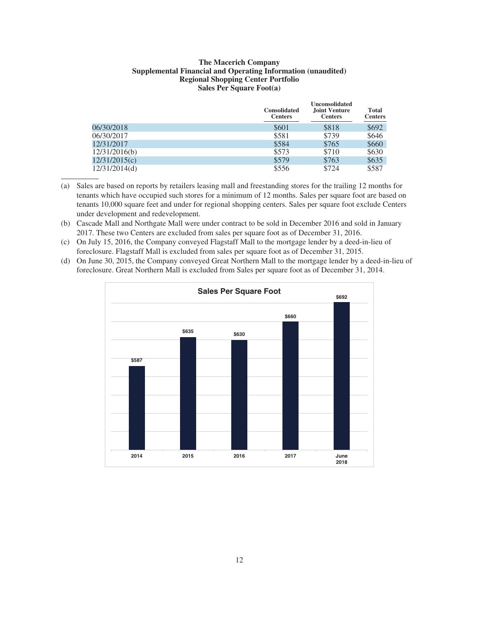### **The Macerich Company Supplemental Financial and Operating Information (unaudited) Regional Shopping Center Portfolio Sales Per Square Foot(a)**

|               | <b>Consolidated</b><br><b>Centers</b> | <b>Unconsolidated</b><br><b>Joint Venture</b><br><b>Centers</b> | Total<br><b>Centers</b> |
|---------------|---------------------------------------|-----------------------------------------------------------------|-------------------------|
| 06/30/2018    | \$601                                 | \$818                                                           | \$692                   |
| 06/30/2017    | \$581                                 | \$739                                                           | \$646                   |
| 12/31/2017    | \$584                                 | \$765                                                           | \$660                   |
| 12/31/2016(b) | \$573                                 | \$710                                                           | \$630                   |
| 12/31/2015(c) | \$579                                 | \$763                                                           | \$635                   |
| 12/31/2014(d) | \$556                                 | \$724                                                           | \$587                   |

- (a) Sales are based on reports by retailers leasing mall and freestanding stores for the trailing 12 months for tenants which have occupied such stores for a minimum of 12 months. Sales per square foot are based on tenants 10,000 square feet and under for regional shopping centers. Sales per square foot exclude Centers under development and redevelopment.
- (b) Cascade Mall and Northgate Mall were under contract to be sold in December 2016 and sold in January 2017. These two Centers are excluded from sales per square foot as of December 31, 2016.
- (c) On July 15, 2016, the Company conveyed Flagstaff Mall to the mortgage lender by a deed-in-lieu of foreclosure. Flagstaff Mall is excluded from sales per square foot as of December 31, 2015.
- (d) On June 30, 2015, the Company conveyed Great Northern Mall to the mortgage lender by a deed-in-lieu of foreclosure. Great Northern Mall is excluded from Sales per square foot as of December 31, 2014.

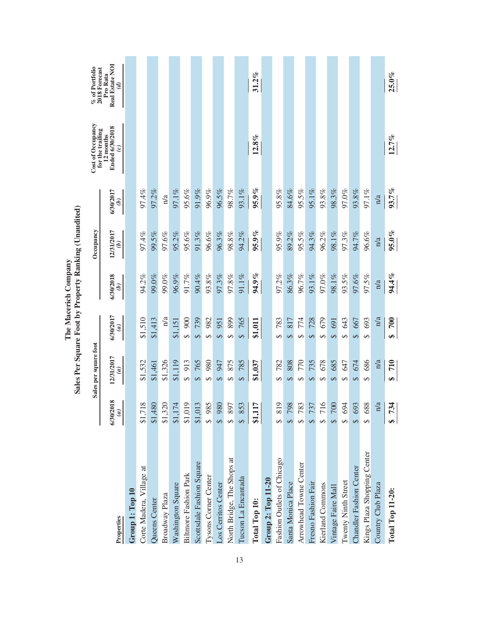|                              |                                         | Sales per square foot       |                            |                            | Occupancy                   |                            | Cost of Occupancy                                                 | % of Portfolio                                                |
|------------------------------|-----------------------------------------|-----------------------------|----------------------------|----------------------------|-----------------------------|----------------------------|-------------------------------------------------------------------|---------------------------------------------------------------|
| Properties                   | 6/30/2018<br>$\mathfrak{g}$             | 12/31/2017<br>$\widehat{a}$ | 6/30/2017<br>$\widehat{a}$ | 6/30/2018<br>$\widehat{e}$ | 12/31/2017<br>$\widehat{e}$ | 6/30/2017<br>$\widehat{e}$ | Ended 6/30/2018<br>for the trailing<br>12 months<br>$\widehat{c}$ | Real Estate NO1<br>2018 Forecast<br>Pro Rata<br>$\mathcal{G}$ |
| Group 1: Top 10              |                                         |                             |                            |                            |                             |                            |                                                                   |                                                               |
| Corte Madera, Village at     | \$1,718                                 | \$1,532                     | \$1,510                    | 94.2%                      | 97.4%                       | 97.4%                      |                                                                   |                                                               |
| Queens Center                | \$1,480                                 | \$1,461                     | \$1,413                    | 99.0%                      | 99.5%                       | 97.2%                      |                                                                   |                                                               |
| Broadway Plaza               | \$1,320                                 | \$1,326                     | n/a                        | 99.0%                      | 97.6%                       | n/a                        |                                                                   |                                                               |
| Washington Square            | \$1,174                                 | \$1,119                     | \$1,151                    | 96.9%                      | 95.2%                       | 97.1%                      |                                                                   |                                                               |
| <b>Biltmore Fashion Park</b> | \$1,019                                 | 913<br>$\Theta$             | 900<br>↔                   | 91.7%                      | 95.6%                       | 95.6%                      |                                                                   |                                                               |
| Scottsdale Fashion Square    | \$1,013                                 | 765<br>$\Theta$             | 739<br>S                   | 90.4%                      | 91.3%                       | 91.9%                      |                                                                   |                                                               |
| <b>Tysons Corner Center</b>  | \$985                                   | 980<br>$\leftrightarrow$    | 982<br>$\Theta$            | 93.8%                      | 96.6%                       | 96.9%                      |                                                                   |                                                               |
| Los Cerritos Center          | $086 \text{ } ^{\circ}$                 | 947<br>$\leftrightarrow$    | 951<br>$\Theta$            | 97.3%                      | 96.3%                       | 96.5%                      |                                                                   |                                                               |
| North Bridge, The Shops at   | 897<br>$\leftrightarrow$                | 875<br>$\Theta$             | 899<br>↔                   | 97.8%                      | 98.8%                       | 98.7%                      |                                                                   |                                                               |
| Tucson La Encantada          | 853<br>$\leftrightarrow$                | 785<br>$\Theta$             | 765<br>$\Theta$            | 91.1%                      | 94.2%                       | 93.1%                      |                                                                   |                                                               |
| Total Top 10:                | L<br>\$1,11                             | \$1,037                     | \$1,011                    | 94.9%                      | 95.9%                       | 95.9%                      | $12.8\%$                                                          | $31.2\%$                                                      |
| Group 2: Top 11-20           |                                         |                             |                            |                            |                             |                            |                                                                   |                                                               |
| Fashion Outlets of Chicago   | $\sigma$<br>$\overline{81}$<br>$\Theta$ | 782<br>↔                    | 783<br>$\varphi$           | 97.2%                      | 95.9%                       | 95.8%                      |                                                                   |                                                               |
| Santa Monica Place           | 798                                     | 808<br>S                    | 817<br>$\Theta$            | 86.3%                      | 89.2%                       | 84.6%                      |                                                                   |                                                               |
| Arrowhead Towne Center       | 783<br>$\Theta$                         | 770<br>$\Theta$             | 774<br>$\Theta$            | 96.7%                      | 95.5%                       | 95.5%                      |                                                                   |                                                               |
| Fresno Fashion Fair          | 737<br>S                                | 735<br>$\Theta$             | 728<br>S                   | 93.1%                      | 94.3%                       | 95.1%                      |                                                                   |                                                               |
| Kierland Commons             | $\circ$<br>$\overline{71}$<br>$\Theta$  | 678<br>$\Theta$             | 679<br>↔                   | 97.0%                      | 96.2%                       | 93.8%                      |                                                                   |                                                               |
| Vintage Faire Mall           | 700<br>S                                | 685<br>$\Theta$             | 691<br>$\Theta$            | 98.1%                      | 98.1%                       | 98.3%                      |                                                                   |                                                               |
| <b>Twenty Ninth Street</b>   | 694<br>$\Theta$                         | 647<br>$\Theta$             | 643<br>$\Theta$            | 93.5%                      | 97.3%                       | 97.0%                      |                                                                   |                                                               |
| Chandler Fashion Center      | 693<br>$\overline{a}$                   | 674<br>$\Theta$             | 667<br>$\Theta$            | 97.6%                      | 94.7%                       | 93.8%                      |                                                                   |                                                               |
| Kings Plaza Shopping Center  | 688<br>မာ                               | 686<br>$\Theta$             | 693<br>↔                   | 97.5%                      | 96.6%                       | 97.1%                      |                                                                   |                                                               |
| Country Club Plaza           | n/a                                     | n/a                         | n/a                        | n/a                        | n/a                         | n/a                        |                                                                   |                                                               |
| Total Top 11-20:             | 734<br>$\bullet$                        | 710<br>↮                    | 700<br>S                   | 94.4%                      | $95.0\%$                    | 93.7%                      | 12.7%                                                             | $25.0\%$                                                      |

The Macerich Company<br>Sales Per Square Foot by Property Ranking (Unaudited) **Sales Per Square Foot by Property Ranking (Unaudited) The Macerich Company**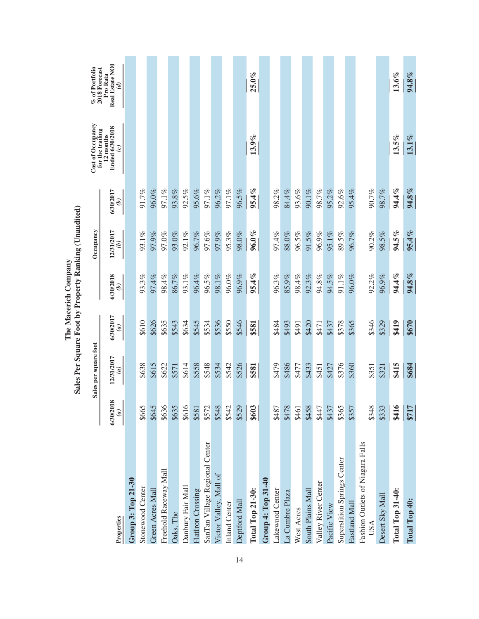|                                         |                            | Sales per square foot       |                            |                            | Occupancy                   |           | Cost of Occupancy<br>for the trailing              | $\%$ of Portfolio 2018 Forecast                     |
|-----------------------------------------|----------------------------|-----------------------------|----------------------------|----------------------------|-----------------------------|-----------|----------------------------------------------------|-----------------------------------------------------|
| Properties                              | 6/30/2018<br>$\widehat{a}$ | 12/31/2017<br>$\widehat{a}$ | 6/30/2017<br>$\widehat{a}$ | 6/30/2018<br>$\widehat{e}$ | 12/31/2017<br>$\widehat{e}$ | 6/30/2017 | Ended 6/30/2018<br>12 months<br>$\widehat{\bm{c}}$ | <b>Real Estate NOI</b><br>Pro Rata<br>$\mathcal{G}$ |
| Group 3: Top 21-30                      |                            |                             |                            |                            |                             |           |                                                    |                                                     |
| Stonewood Center                        | \$665                      | \$638                       | \$610                      | 93.3%                      | 93.1%                       | 91.7%     |                                                    |                                                     |
| Green Acres Mall                        | \$645                      | \$615                       | \$626                      | 97.4%                      | 97.9%                       | 96.0%     |                                                    |                                                     |
| Freehold Raceway Mall                   | \$636                      | \$622                       | \$635                      | 98.4%                      | 97.0%                       | 97.1%     |                                                    |                                                     |
| Oaks, The                               | \$635                      | \$571                       | \$543                      | 86.7%                      | 93.0%                       | 93.8%     |                                                    |                                                     |
| Danbury Fair Mall                       | \$616                      | \$614                       | \$634                      | 93.1%                      | $92.1\%$                    | 92.5%     |                                                    |                                                     |
| FlatIron Crossing                       | \$581                      | \$558                       | \$545                      | 96.4%                      | 96.7%                       | 95.6%     |                                                    |                                                     |
| SanTan Village Regional Center          | \$572                      | \$548                       | \$534                      | 96.5%                      | 97.6%                       | 97.1%     |                                                    |                                                     |
| Victor Valley, Mall of                  | \$548                      | \$534                       | \$536                      | $98.1\%$                   | 97.9%                       | 96.2%     |                                                    |                                                     |
| Inland Center                           | \$542                      | \$542                       | \$550                      | 96.0%                      | 95.3%                       | 97.1%     |                                                    |                                                     |
| Deptford Mall                           | \$529                      | \$526                       | \$546                      | 96.9%                      | 98.0%                       | 96.5%     |                                                    |                                                     |
| Total Top 21-30:                        | \$603                      | \$581                       | \$581                      | 95.4%                      | $96.0\%$                    | 95.4%     | 13.9%                                              | $25.0\%$                                            |
| Group 4: Top 31-40                      |                            |                             |                            |                            |                             |           |                                                    |                                                     |
| Lakewood Center                         | \$487                      | \$479                       | \$484                      | 96.3%                      | 97.4%                       | 98.2%     |                                                    |                                                     |
| La Cumbre Plaza                         | \$478                      | \$486                       | \$493                      | 85.9%                      | 88.0%                       | 84.4%     |                                                    |                                                     |
| West Acres                              | \$461                      | \$477                       | \$491                      | 98.4%                      | 96.5%                       | 93.6%     |                                                    |                                                     |
| South Plains Mall                       | \$458                      | \$433                       | \$420                      | 92.3%                      | 91.5%                       | 90.1%     |                                                    |                                                     |
| Valley River Center                     | \$447                      | \$451                       | \$471                      | 94.8%                      | 96.9%                       | 98.7%     |                                                    |                                                     |
| Pacific View                            | \$437                      | \$427                       | \$437                      | 94.5%                      | 95.1%                       | 95.2%     |                                                    |                                                     |
| <b>Superstition Springs Center</b>      | \$365                      | \$376                       | \$378                      | $91.1\%$                   | 89.5%                       | 92.6%     |                                                    |                                                     |
| Eastland Mall                           | \$357                      | \$360                       | \$365                      | 96.0%                      | 96.7%                       | 95.4%     |                                                    |                                                     |
| Fashion Outlets of Niagara Falls<br>USA | \$348                      | \$351                       | \$346                      | 92.2%                      | 90.2%                       | 90.7%     |                                                    |                                                     |
| Desert Sky Mall                         | \$333                      | \$321                       | \$329                      | 96.9%                      | 98.5%                       | 98.7%     |                                                    |                                                     |
| <b>Total Top 31-40:</b>                 | \$416                      | \$415                       | \$419                      | 94.4%                      | 94.5%                       | 94.4%     | 13.5%                                              | $13.6\%$                                            |
| Total Top 40:                           | $\overline{ }$<br>571      | \$684                       | \$670                      | 94.8%                      | 95.4%                       | 94.8%     | $13.1\%$                                           | 94.8%                                               |

The Macerich Company<br>Sales Per Square Foot by Property Ranking (Unaudited) **Sales Per Square Foot by Property Ranking (Unaudited) The Macerich Company**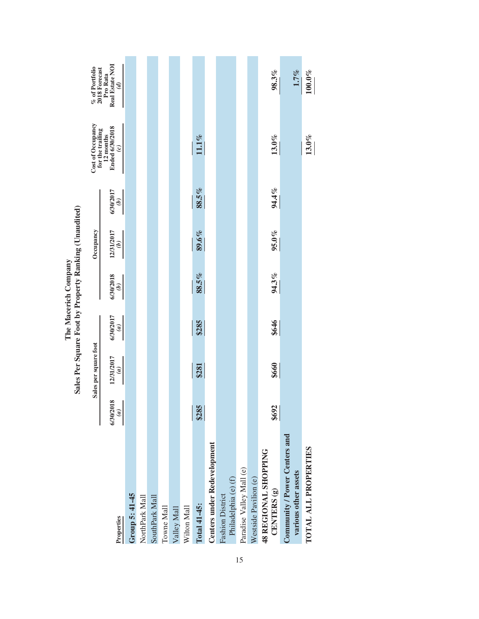|                                                       |                                        | Sales Per Square Foot by Property Ranking (Unaudited) |                                                             | The Macerich Company       |                             |                                    |                                                     |                                              |
|-------------------------------------------------------|----------------------------------------|-------------------------------------------------------|-------------------------------------------------------------|----------------------------|-----------------------------|------------------------------------|-----------------------------------------------------|----------------------------------------------|
|                                                       |                                        | Sales per square foot                                 |                                                             |                            | Occupancy                   |                                    | Cost of Occupancy<br>for the trailing               | $\%$ of Portfolio 2018 Forecast              |
| Properties                                            | 6/30/2018<br>I<br>$\frac{1}{\sqrt{2}}$ | 12/31/2017<br>(a)                                     | 6/30/2017<br>$\left  \begin{matrix} a \end{matrix} \right $ | 6/30/2018<br>$\mathcal{L}$ | 12/31/2017<br>$\widehat{q}$ | 6/30/2017<br>$\mathcal{L}(\theta)$ | <b>Ended 6/30/2018</b><br>12 months<br>$\mathbf{c}$ | Real Estate NOI<br>Pro Rata<br>$\mathcal{G}$ |
| Group 5: 41-45                                        |                                        |                                                       |                                                             |                            |                             |                                    |                                                     |                                              |
| NorthPark Mall                                        |                                        |                                                       |                                                             |                            |                             |                                    |                                                     |                                              |
| SouthPark Mall                                        |                                        |                                                       |                                                             |                            |                             |                                    |                                                     |                                              |
| Towne Mall                                            |                                        |                                                       |                                                             |                            |                             |                                    |                                                     |                                              |
| Valley Mall                                           |                                        |                                                       |                                                             |                            |                             |                                    |                                                     |                                              |
| Wilton Mall                                           |                                        |                                                       |                                                             |                            |                             |                                    |                                                     |                                              |
| Total 41-45:                                          | \$285                                  | \$281                                                 | \$285                                                       | 88.5%                      | 89.6%                       | 88.5%                              | 11.1%                                               |                                              |
| Centers under Redevelopment                           |                                        |                                                       |                                                             |                            |                             |                                    |                                                     |                                              |
| Philadelphia (e) (f)<br>Fashion District              |                                        |                                                       |                                                             |                            |                             |                                    |                                                     |                                              |
| Paradise Valley Mall (e)                              |                                        |                                                       |                                                             |                            |                             |                                    |                                                     |                                              |
| Westside Pavilion (e)                                 |                                        |                                                       |                                                             |                            |                             |                                    |                                                     |                                              |
| 48 REGIONAL SHOPPING<br>CENTERS <sup>(g)</sup>        | \$692                                  | \$660                                                 | \$646                                                       | 94.3%                      | 95.0%                       | 94.4%                              | $13.0\%$                                            | 98.3%                                        |
| Community / Power Centers and<br>various other assets |                                        |                                                       |                                                             |                            |                             |                                    |                                                     | 1.7%                                         |
| TOTAL ALL PROPERTIES                                  |                                        |                                                       |                                                             |                            |                             |                                    | $13.0\%$                                            | $100.0\%$                                    |
|                                                       |                                        |                                                       |                                                             |                            |                             |                                    |                                                     |                                              |

15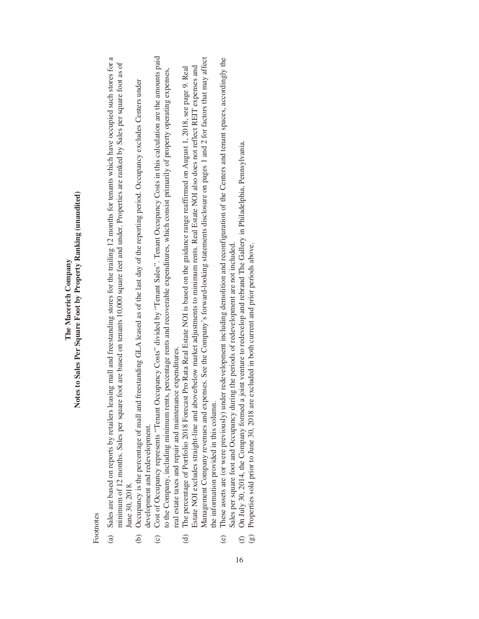### Notes to Sales Per Square Foot by Property Ranking (unaudited) **Notes to Sales Per Square Foot by Property Ranking (unaudited)** The Macerich Company **The Macerich Company**

Footnotes Footnotes

- Sales are based on reports by retailers leasing mall and freestanding stores for the trailing 12 months for tenants which have occupied such stores for a (a) Sales are based on reports by retailers leasing mall and freestanding stores for the trailing 12 months for tenants which have occupied such stores for a minimum of 12 months. Sales per square foot are based on tenants 10,000 square feet and under. Properties are ranked by Sales per square foot as of minimum of 12 months. Sales per square foot are based on tenants 10,000 square feet and under. Properties are ranked by Sales per square foot as of June 30, 2018. June 30, 2018.  $\hat{a}$
- (b) Occupancy is the percentage of mall and freestanding GLA leased as of the last day of the reporting period. Occupancy excludes Centers under Occupancy is the percentage of mall and freestanding GLA leased as of the last day of the reporting period. Occupancy excludes Centers under development and redevelopment. development and redevelopment.  $\widehat{e}$
- Cost of Occupancy represents "Tenant Occupancy Costs" divided by "Tenant Sales". Tenant Occupancy Costs in this calculation are the amounts paid (c) Cost of Occupancy represents "Tenant Occupancy Costs" divided by "Tenant Sales". Tenant Occupancy Costs in this calculation are the amounts paid to the Company, including minimum rents, percentage rents and recoverable expenditures, which consist primarily of property operating expenses, to the Company, including minimum rents, percentage rents and recoverable expenditures, which consist primarily of property operating expenses, real estate taxes and repair and maintenance expenditures. real estate taxes and repair and maintenance expenditures.  $\odot$ 
	- Management Company revenues and expenses. See the Company's forward-looking statements disclosure on pages 1 and 2 for factors that may affect Management Company revenues and expenses. See the Company's forward-looking statements disclosure on pages 1 and 2 for factors that may affect Estate NOI excludes straight-line and above/below market adjustments to minimum rents. Real Estate NOI also does not reflect REIT expenses and The percentage of Portfolio 2018 Forecast Pro Rata Real Estate NOI is based on the guidance range reaffirmed on August 1, 2018, see page 9. Real Estate NOI excludes straight-line and above/below market adjustments to minimum rents. Real Estate NOI also does not reflect REIT expenses and (d) The percentage of Portfolio 2018 Forecast Pro Rata Real Estate NOI is based on the guidance range reaffirmed on August 1, 2018, see page 9. Real the information provided in this column. the information provided in this column.  $\Theta$
- These assets are (or were previously) under redevelopment including demolition and reconfiguration of the Centers and tenant spaces, accordingly the (e) These assets are (or were previously) under redevelopment including demolition and reconfiguration of the Centers and tenant spaces, accordingly the Sales per square foot and Occupancy during the periods of redevelopment are not included. Sales per square foot and Occupancy during the periods of redevelopment are not included.  $\odot$
- On July 30, 2014, the Company formed a joint venture to redevelop and rebrand The Gallery in Philadelphia, Pennsylvania. (f) On July 30, 2014, the Company formed a joint venture to redevelop and rebrand The Gallery in Philadelphia, Pennsylvania.  $\bigoplus$ 
	- Properties sold prior to June 30, 2018 are excluded in both current and prior periods above.  $(g)$  Properties sold prior to June 30, 2018 are excluded in both current and prior periods above.  $\bigcirc$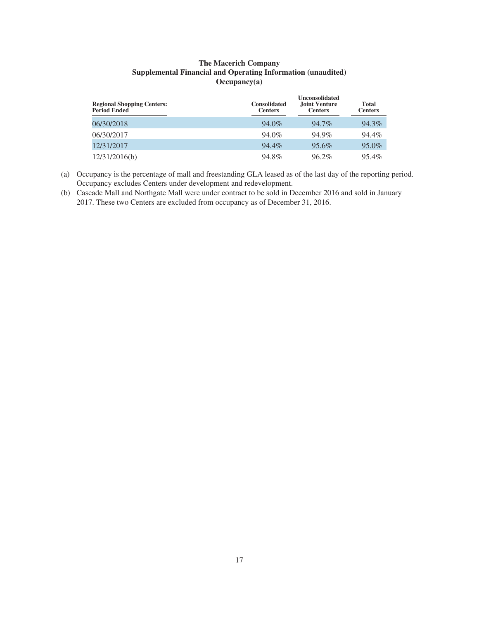### **The Macerich Company Supplemental Financial and Operating Information (unaudited) Occupancy(a)**

| <b>Regional Shopping Centers:</b><br><b>Period Ended</b> | <b>Consolidated</b><br><b>Centers</b> | <b>Unconsolidated</b><br><b>Joint Venture</b><br><b>Centers</b> | <b>Total</b><br><b>Centers</b> |
|----------------------------------------------------------|---------------------------------------|-----------------------------------------------------------------|--------------------------------|
| 06/30/2018                                               | 94.0%                                 | 94.7%                                                           | 94.3%                          |
| 06/30/2017                                               | 94.0%                                 | 94.9%                                                           | $94.4\%$                       |
| 12/31/2017                                               | 94.4%                                 | 95.6%                                                           | 95.0%                          |
| 12/31/2016(b)                                            | 94.8%                                 | $96.2\%$                                                        | 95.4%                          |

(a) Occupancy is the percentage of mall and freestanding GLA leased as of the last day of the reporting period. Occupancy excludes Centers under development and redevelopment.

(b) Cascade Mall and Northgate Mall were under contract to be sold in December 2016 and sold in January 2017. These two Centers are excluded from occupancy as of December 31, 2016.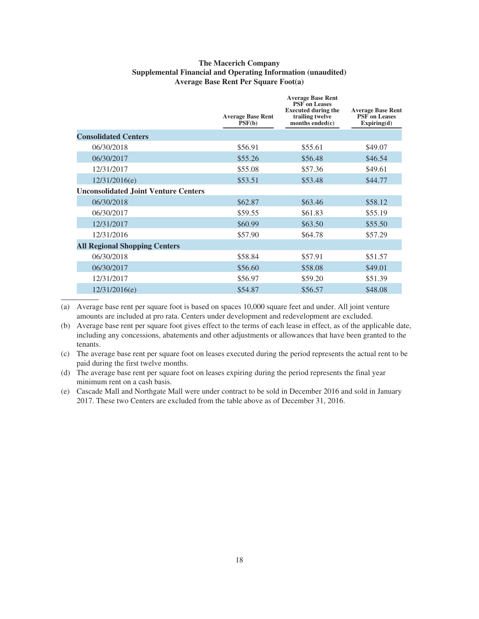### **The Macerich Company Supplemental Financial and Operating Information (unaudited) Average Base Rent Per Square Foot(a)**

|                                             | <b>Average Base Rent</b><br>PSF(b) | <b>Average Base Rent</b><br><b>PSF</b> on Leases<br><b>Executed during the</b><br>trailing twelve<br>months ended(c) | <b>Average Base Rent</b><br><b>PSF</b> on Leases<br>Expiring(d) |
|---------------------------------------------|------------------------------------|----------------------------------------------------------------------------------------------------------------------|-----------------------------------------------------------------|
| <b>Consolidated Centers</b>                 |                                    |                                                                                                                      |                                                                 |
| 06/30/2018                                  | \$56.91                            | \$55.61                                                                                                              | \$49.07                                                         |
| 06/30/2017                                  | \$55.26                            | \$56.48                                                                                                              | \$46.54                                                         |
| 12/31/2017                                  | \$55.08                            | \$57.36                                                                                                              | \$49.61                                                         |
| 12/31/2016(e)                               | \$53.51                            | \$53.48                                                                                                              | \$44.77                                                         |
| <b>Unconsolidated Joint Venture Centers</b> |                                    |                                                                                                                      |                                                                 |
| 06/30/2018                                  | \$62.87                            | \$63.46                                                                                                              | \$58.12                                                         |
| 06/30/2017                                  | \$59.55                            | \$61.83                                                                                                              | \$55.19                                                         |
| 12/31/2017                                  | \$60.99                            | \$63.50                                                                                                              | \$55.50                                                         |
| 12/31/2016                                  | \$57.90                            | \$64.78                                                                                                              | \$57.29                                                         |
| <b>All Regional Shopping Centers</b>        |                                    |                                                                                                                      |                                                                 |
| 06/30/2018                                  | \$58.84                            | \$57.91                                                                                                              | \$51.57                                                         |
| 06/30/2017                                  | \$56.60                            | \$58.08                                                                                                              | \$49.01                                                         |
| 12/31/2017                                  | \$56.97                            | \$59.20                                                                                                              | \$51.39                                                         |
| 12/31/2016(e)                               | \$54.87                            | \$56.57                                                                                                              | \$48.08                                                         |
|                                             |                                    |                                                                                                                      |                                                                 |

(a) Average base rent per square foot is based on spaces 10,000 square feet and under. All joint venture amounts are included at pro rata. Centers under development and redevelopment are excluded.

(b) Average base rent per square foot gives effect to the terms of each lease in effect, as of the applicable date, including any concessions, abatements and other adjustments or allowances that have been granted to the tenants.

(c) The average base rent per square foot on leases executed during the period represents the actual rent to be paid during the first twelve months.

(d) The average base rent per square foot on leases expiring during the period represents the final year minimum rent on a cash basis.

(e) Cascade Mall and Northgate Mall were under contract to be sold in December 2016 and sold in January 2017. These two Centers are excluded from the table above as of December 31, 2016.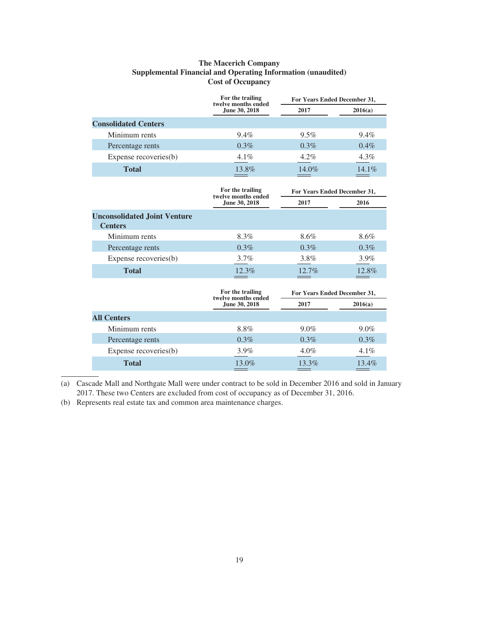### **The Macerich Company Supplemental Financial and Operating Information (unaudited) Cost of Occupancy**

|                             | For the trailing<br>twelve months ended | For Years Ended December 31, |          |
|-----------------------------|-----------------------------------------|------------------------------|----------|
|                             | June 30, 2018                           | 2017                         | 2016(a)  |
| <b>Consolidated Centers</b> |                                         |                              |          |
| Minimum rents               | $9.4\%$                                 | $9.5\%$                      | $9.4\%$  |
| Percentage rents            | $0.3\%$                                 | $0.3\%$                      | $0.4\%$  |
| Expense recoveries(b)       | $4.1\%$                                 | $4.2\%$                      | 4.3%     |
| <b>Total</b>                | 13.8%                                   | 14.0%                        | $14.1\%$ |

|                                                       | For the trailing<br>twelve months ended | For Years Ended December 31, |         |
|-------------------------------------------------------|-----------------------------------------|------------------------------|---------|
|                                                       | June 30, 2018                           | 2017                         | 2016    |
| <b>Unconsolidated Joint Venture</b><br><b>Centers</b> |                                         |                              |         |
| Minimum rents                                         | 8.3%                                    | 8.6%                         | 8.6%    |
| Percentage rents                                      | $0.3\%$                                 | $0.3\%$                      | $0.3\%$ |
| Expense recoveries(b)                                 | $3.7\%$                                 | 3.8%                         | 3.9%    |
| <b>Total</b>                                          | 12.3%                                   | $12.7\%$                     | 12.8%   |

|                       | For the trailing<br>twelve months ended | For Years Ended December 31, |         |
|-----------------------|-----------------------------------------|------------------------------|---------|
|                       | June 30, 2018                           | 2017                         | 2016(a) |
| <b>All Centers</b>    |                                         |                              |         |
| Minimum rents         | 8.8%                                    | $9.0\%$                      | $9.0\%$ |
| Percentage rents      | $0.3\%$                                 | $0.3\%$                      | $0.3\%$ |
| Expense recoveries(b) | $3.9\%$                                 | $4.0\%$                      | 4.1%    |
| <b>Total</b>          | 13.0%                                   | 13.3%                        | 13.4%   |

(a) Cascade Mall and Northgate Mall were under contract to be sold in December 2016 and sold in January 2017. These two Centers are excluded from cost of occupancy as of December 31, 2016.

(b) Represents real estate tax and common area maintenance charges.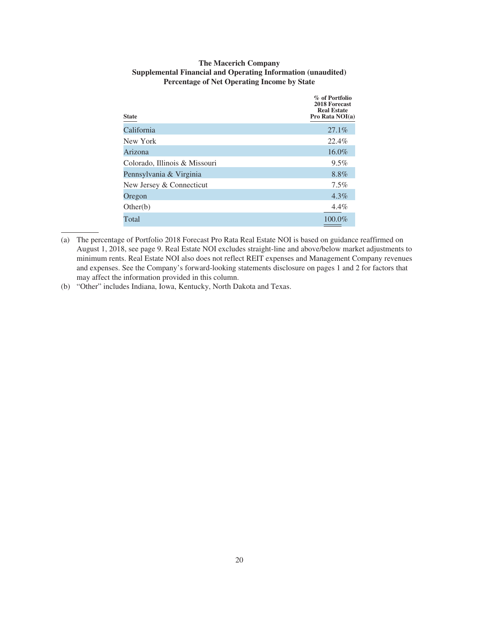| <b>State</b>                  | % of Portfolio<br>2018 Forecast<br><b>Real Estate</b><br>Pro Rata NOI(a) |
|-------------------------------|--------------------------------------------------------------------------|
| California                    | 27.1%                                                                    |
| New York                      | 22.4%                                                                    |
| Arizona                       | 16.0%                                                                    |
| Colorado, Illinois & Missouri | $9.5\%$                                                                  |
| Pennsylvania & Virginia       | 8.8%                                                                     |
| New Jersey & Connecticut      | $7.5\%$                                                                  |
| Oregon                        | $4.3\%$                                                                  |
| Other(b)                      | $4.4\%$                                                                  |
| Total                         | 100.0%                                                                   |

### **The Macerich Company Supplemental Financial and Operating Information (unaudited) Percentage of Net Operating Income by State**

(b) "Other" includes Indiana, Iowa, Kentucky, North Dakota and Texas.

<sup>(</sup>a) The percentage of Portfolio 2018 Forecast Pro Rata Real Estate NOI is based on guidance reaffirmed on August 1, 2018, see page 9. Real Estate NOI excludes straight-line and above/below market adjustments to minimum rents. Real Estate NOI also does not reflect REIT expenses and Management Company revenues and expenses. See the Company's forward-looking statements disclosure on pages 1 and 2 for factors that may affect the information provided in this column.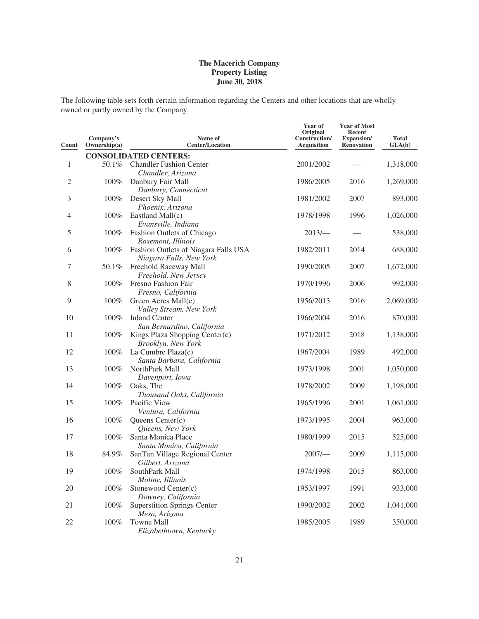The following table sets forth certain information regarding the Centers and other locations that are wholly owned or partly owned by the Company.

| Count          | Company's<br>Ownership(a) | Name of<br><b>Center/Location</b>                               | Year of<br>Original<br>Construction/<br>Acquisition | <b>Year of Most</b><br>Recent<br>Expansion/<br><b>Renovation</b> | <b>Total</b><br>GLA(b) |
|----------------|---------------------------|-----------------------------------------------------------------|-----------------------------------------------------|------------------------------------------------------------------|------------------------|
|                |                           | <b>CONSOLIDATED CENTERS:</b>                                    |                                                     |                                                                  |                        |
| $\mathbf{1}$   | 50.1%                     | <b>Chandler Fashion Center</b><br>Chandler, Arizona             | 2001/2002                                           |                                                                  | 1,318,000              |
| $\overline{2}$ | 100%                      | Danbury Fair Mall<br>Danbury, Connecticut                       | 1986/2005                                           | 2016                                                             | 1,269,000              |
| 3              | 100%                      | Desert Sky Mall<br>Phoenix, Arizona                             | 1981/2002                                           | 2007                                                             | 893,000                |
| 4              | 100%                      | Eastland Mall(c)<br>Evansville, Indiana                         | 1978/1998                                           | 1996                                                             | 1,026,000              |
| 5              | 100%                      | Fashion Outlets of Chicago<br>Rosemont, Illinois                | $2013/-$                                            |                                                                  | 538,000                |
| 6              | 100%                      | Fashion Outlets of Niagara Falls USA<br>Niagara Falls, New York | 1982/2011                                           | 2014                                                             | 688,000                |
| 7              | 50.1%                     | Freehold Raceway Mall<br>Freehold, New Jersey                   | 1990/2005                                           | 2007                                                             | 1,672,000              |
| 8              | 100%                      | Fresno Fashion Fair<br>Fresno, California                       | 1970/1996                                           | 2006                                                             | 992,000                |
| 9              | 100%                      | Green Acres Mall(c)<br>Valley Stream, New York                  | 1956/2013                                           | 2016                                                             | 2,069,000              |
| 10             | 100%                      | <b>Inland Center</b><br>San Bernardino, California              | 1966/2004                                           | 2016                                                             | 870,000                |
| 11             | 100%                      | Kings Plaza Shopping Center(c)<br>Brooklyn, New York            | 1971/2012                                           | 2018                                                             | 1,138,000              |
| 12             | 100%                      | La Cumbre Plaza(c)<br>Santa Barbara, California                 | 1967/2004                                           | 1989                                                             | 492,000                |
| 13             | 100%                      | NorthPark Mall<br>Davenport, Iowa                               | 1973/1998                                           | 2001                                                             | 1,050,000              |
| 14             | 100%                      | Oaks, The<br>Thousand Oaks, California                          | 1978/2002                                           | 2009                                                             | 1,198,000              |
| 15             | 100%                      | Pacific View<br>Ventura, California                             | 1965/1996                                           | 2001                                                             | 1,061,000              |
| 16             | 100%                      | Queens Center(c)<br>Queens, New York                            | 1973/1995                                           | 2004                                                             | 963,000                |
| 17             | 100%                      | Santa Monica Place<br>Santa Monica, California                  | 1980/1999                                           | 2015                                                             | 525,000                |
| 18             | 84.9%                     | SanTan Village Regional Center<br>Gilbert, Arizona              | 2007/                                               | 2009                                                             | 1,115,000              |
| 19             | 100%                      | SouthPark Mall<br>Moline, Illinois                              | 1974/1998                                           | 2015                                                             | 863,000                |
| 20             | 100%                      | Stonewood Center(c)<br>Downey, California                       | 1953/1997                                           | 1991                                                             | 933,000                |
| 21             | 100%                      | <b>Superstition Springs Center</b><br>Mesa, Arizona             | 1990/2002                                           | 2002                                                             | 1,041,000              |
| 22             | 100%                      | Towne Mall<br>Elizabethtown, Kentucky                           | 1985/2005                                           | 1989                                                             | 350,000                |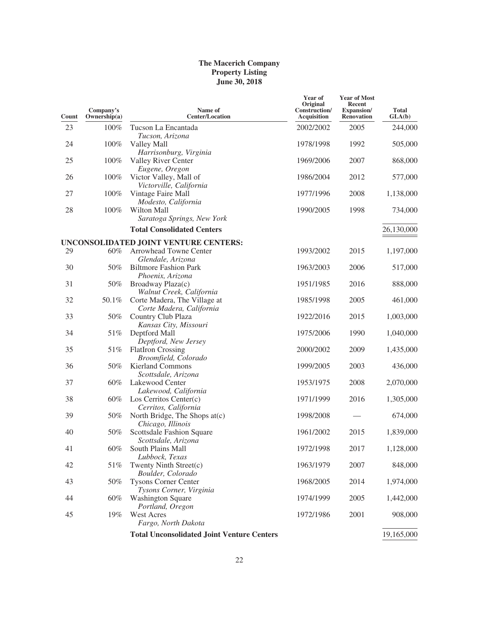| Count | Company's<br>Ownership(a) | Name of<br><b>Center/Location</b>                        | Year of<br>Original<br>Construction/<br>Acquisition | <b>Year of Most</b><br>Recent<br><b>Expansion/</b><br><b>Renovation</b> | <b>Total</b><br>GLA(b) |
|-------|---------------------------|----------------------------------------------------------|-----------------------------------------------------|-------------------------------------------------------------------------|------------------------|
| 23    | 100%                      | Tucson La Encantada<br>Tucson, Arizona                   | 2002/2002                                           | 2005                                                                    | 244,000                |
| 24    | 100%                      | Valley Mall<br>Harrisonburg, Virginia                    | 1978/1998                                           | 1992                                                                    | 505,000                |
| 25    | 100%                      | Valley River Center<br>Eugene, Oregon                    | 1969/2006                                           | 2007                                                                    | 868,000                |
| 26    | 100%                      | Victor Valley, Mall of<br>Victorville, California        | 1986/2004                                           | 2012                                                                    | 577,000                |
| 27    | 100%                      | Vintage Faire Mall<br>Modesto, California                | 1977/1996                                           | 2008                                                                    | 1,138,000              |
| 28    | 100%                      | Wilton Mall<br>Saratoga Springs, New York                | 1990/2005                                           | 1998                                                                    | 734,000                |
|       |                           | <b>Total Consolidated Centers</b>                        |                                                     |                                                                         | 26,130,000             |
|       |                           | UNCONSOLIDATED JOINT VENTURE CENTERS:                    |                                                     |                                                                         |                        |
| 29    | 60%                       | Arrowhead Towne Center<br>Glendale, Arizona              | 1993/2002                                           | 2015                                                                    | 1,197,000              |
| 30    | 50%                       | <b>Biltmore Fashion Park</b><br>Phoenix, Arizona         | 1963/2003                                           | 2006                                                                    | 517,000                |
| 31    | 50%                       | Broadway Plaza(c)<br>Walnut Creek, California            | 1951/1985                                           | 2016                                                                    | 888,000                |
| 32    | 50.1%                     | Corte Madera, The Village at<br>Corte Madera, California | 1985/1998                                           | 2005                                                                    | 461,000                |
| 33    | 50%                       | Country Club Plaza<br>Kansas City, Missouri              | 1922/2016                                           | 2015                                                                    | 1,003,000              |
| 34    | 51%                       | Deptford Mall<br>Deptford, New Jersey                    | 1975/2006                                           | 1990                                                                    | 1,040,000              |
| 35    | 51%                       | <b>FlatIron Crossing</b><br>Broomfield, Colorado         | 2000/2002                                           | 2009                                                                    | 1,435,000              |
| 36    | 50%                       | <b>Kierland Commons</b><br>Scottsdale, Arizona           | 1999/2005                                           | 2003                                                                    | 436,000                |
| 37    | 60%                       | Lakewood Center<br>Lakewood, California                  | 1953/1975                                           | 2008                                                                    | 2,070,000              |
| 38    | 60%                       | Los Cerritos Center $(c)$<br>Cerritos, California        | 1971/1999                                           | 2016                                                                    | 1,305,000              |
| 39    | 50%                       | North Bridge, The Shops at(c)<br>Chicago, Illinois       | 1998/2008                                           |                                                                         | 674,000                |
| 40    | 50%                       | <b>Scottsdale Fashion Square</b><br>Scottsdale, Arizona  | 1961/2002                                           | 2015                                                                    | 1,839,000              |
| 41    | $60\%$                    | South Plains Mall<br>Lubbock, Texas                      | 1972/1998                                           | 2017                                                                    | 1,128,000              |
| 42    | 51%                       | Twenty Ninth Street(c)<br>Boulder, Colorado              | 1963/1979                                           | 2007                                                                    | 848,000                |
| 43    | 50%                       | <b>Tysons Corner Center</b><br>Tysons Corner, Virginia   | 1968/2005                                           | 2014                                                                    | 1,974,000              |
| 44    | 60%                       | <b>Washington Square</b><br>Portland, Oregon             | 1974/1999                                           | 2005                                                                    | 1,442,000              |
| 45    | 19%                       | West Acres<br>Fargo, North Dakota                        | 1972/1986                                           | 2001                                                                    | 908,000                |
|       |                           | <b>Total Unconsolidated Joint Venture Centers</b>        |                                                     |                                                                         | 19,165,000             |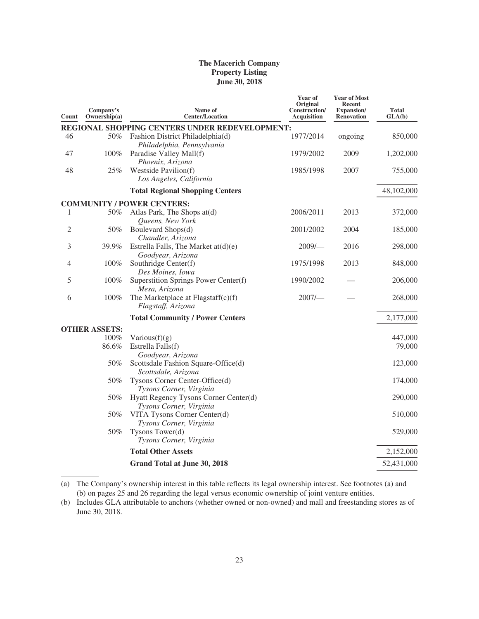| Count | Company's<br>Ownership(a) | Name of<br><b>Center/Location</b>                                | Year of<br>Original<br>Construction/<br>Acquisition | <b>Year of Most</b><br>Recent<br><b>Expansion</b> /<br><b>Renovation</b> | <b>Total</b><br>GLA(b) |
|-------|---------------------------|------------------------------------------------------------------|-----------------------------------------------------|--------------------------------------------------------------------------|------------------------|
|       |                           | REGIONAL SHOPPING CENTERS UNDER REDEVELOPMENT:                   |                                                     |                                                                          |                        |
| 46    | 50%                       | Fashion District Philadelphia(d)<br>Philadelphia, Pennsylvania   | 1977/2014                                           | ongoing                                                                  | 850,000                |
| 47    | 100%                      | Paradise Valley Mall(f)<br>Phoenix, Arizona                      | 1979/2002                                           | 2009                                                                     | 1,202,000              |
| 48    | 25%                       | Westside Pavilion(f)<br>Los Angeles, California                  | 1985/1998                                           | 2007                                                                     | 755,000                |
|       |                           | <b>Total Regional Shopping Centers</b>                           |                                                     |                                                                          | 48,102,000             |
|       |                           | <b>COMMUNITY / POWER CENTERS:</b>                                |                                                     |                                                                          |                        |
| 1     | 50%                       | Atlas Park, The Shops at(d)<br>Queens, New York                  | 2006/2011                                           | 2013                                                                     | 372,000                |
| 2     | 50%                       | Boulevard Shops(d)<br>Chandler, Arizona                          | 2001/2002                                           | 2004                                                                     | 185,000                |
| 3     | 39.9%                     | Estrella Falls, The Market $at(d)(e)$<br>Goodyear, Arizona       | $2009$ /-                                           | 2016                                                                     | 298,000                |
| 4     | 100%                      | Southridge Center(f)<br>Des Moines, Iowa                         | 1975/1998                                           | 2013                                                                     | 848,000                |
| 5     | 100%                      | Superstition Springs Power Center(f)<br>Mesa, Arizona            | 1990/2002                                           |                                                                          | 206,000                |
| 6     | 100%                      | The Marketplace at Flagstaff(c)(f)<br>Flagstaff, Arizona         | 2007/                                               |                                                                          | 268,000                |
|       |                           | <b>Total Community / Power Centers</b>                           |                                                     |                                                                          | 2,177,000              |
|       | <b>OTHER ASSETS:</b>      |                                                                  |                                                     |                                                                          |                        |
|       | 100%                      | Various $(f)(g)$                                                 |                                                     |                                                                          | 447,000                |
|       | 86.6%                     | Estrella Falls(f)<br>Goodyear, Arizona                           |                                                     |                                                                          | 79,000                 |
|       | 50%                       | Scottsdale Fashion Square-Office(d)<br>Scottsdale, Arizona       |                                                     |                                                                          | 123,000                |
|       | 50%                       | Tysons Corner Center-Office(d)<br>Tysons Corner, Virginia        |                                                     |                                                                          | 174,000                |
|       | 50%                       | Hyatt Regency Tysons Corner Center(d)<br>Tysons Corner, Virginia |                                                     |                                                                          | 290,000                |
|       | 50%                       | VITA Tysons Corner Center(d)<br>Tysons Corner, Virginia          |                                                     |                                                                          | 510,000                |
|       | 50%                       | Tysons Tower(d)<br>Tysons Corner, Virginia                       |                                                     |                                                                          | 529,000                |
|       |                           | <b>Total Other Assets</b>                                        |                                                     |                                                                          | 2,152,000              |
|       |                           | Grand Total at June 30, 2018                                     |                                                     |                                                                          | 52,431,000             |

(a) The Company's ownership interest in this table reflects its legal ownership interest. See footnotes (a) and (b) on pages 25 and 26 regarding the legal versus economic ownership of joint venture entities.

<sup>(</sup>b) Includes GLA attributable to anchors (whether owned or non-owned) and mall and freestanding stores as of June 30, 2018.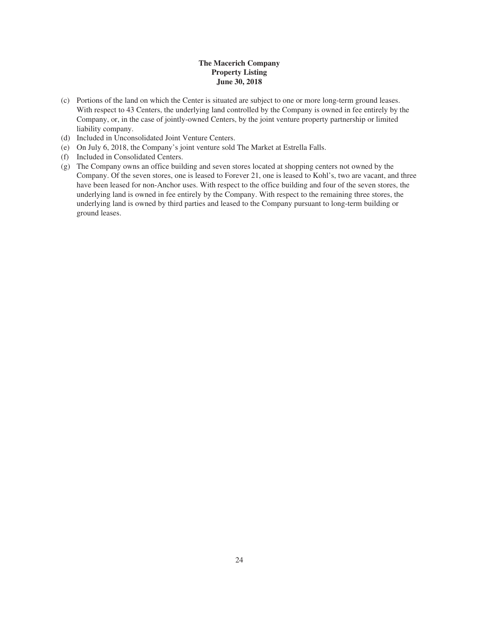- (c) Portions of the land on which the Center is situated are subject to one or more long-term ground leases. With respect to 43 Centers, the underlying land controlled by the Company is owned in fee entirely by the Company, or, in the case of jointly-owned Centers, by the joint venture property partnership or limited liability company.
- (d) Included in Unconsolidated Joint Venture Centers.
- (e) On July 6, 2018, the Company's joint venture sold The Market at Estrella Falls.
- (f) Included in Consolidated Centers.
- (g) The Company owns an office building and seven stores located at shopping centers not owned by the Company. Of the seven stores, one is leased to Forever 21, one is leased to Kohl's, two are vacant, and three have been leased for non-Anchor uses. With respect to the office building and four of the seven stores, the underlying land is owned in fee entirely by the Company. With respect to the remaining three stores, the underlying land is owned by third parties and leased to the Company pursuant to long-term building or ground leases.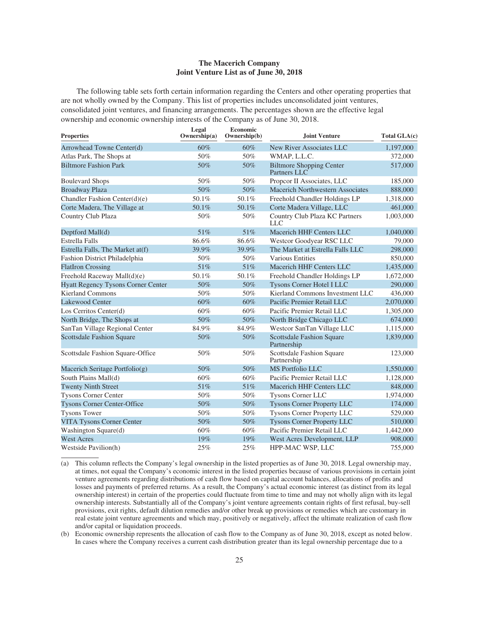### **The Macerich Company Joint Venture List as of June 30, 2018**

The following table sets forth certain information regarding the Centers and other operating properties that are not wholly owned by the Company. This list of properties includes unconsolidated joint ventures, consolidated joint ventures, and financing arrangements. The percentages shown are the effective legal ownership and economic ownership interests of the Company as of June 30, 2018.

| <b>Properties</b>                         | Legal<br>Ownership(a) | Economic<br>Ownership(b) | Joint Venture                                   | Total GLA(c) |
|-------------------------------------------|-----------------------|--------------------------|-------------------------------------------------|--------------|
| Arrowhead Towne Center(d)                 | 60%                   | 60%                      | New River Associates LLC                        | 1,197,000    |
| Atlas Park, The Shops at                  | 50%                   | 50%                      | WMAP, L.L.C.                                    | 372,000      |
| <b>Biltmore Fashion Park</b>              | 50%                   | 50%                      | <b>Biltmore Shopping Center</b><br>Partners LLC | 517,000      |
| <b>Boulevard Shops</b>                    | 50%                   | 50%                      | Propcor II Associates, LLC                      | 185,000      |
| <b>Broadway Plaza</b>                     | 50%                   | 50%                      | Macerich Northwestern Associates                | 888,000      |
| Chandler Fashion Center(d)(e)             | 50.1%                 | 50.1%                    | Freehold Chandler Holdings LP                   | 1,318,000    |
| Corte Madera, The Village at              | 50.1%                 | 50.1%                    | Corte Madera Village, LLC                       | 461,000      |
| Country Club Plaza                        | 50%                   | 50%                      | Country Club Plaza KC Partners<br><b>LLC</b>    | 1,003,000    |
| Deptford Mall(d)                          | 51%                   | 51%                      | Macerich HHF Centers LLC                        | 1,040,000    |
| <b>Estrella Falls</b>                     | 86.6%                 | 86.6%                    | Westcor Goodyear RSC LLC                        | 79,000       |
| Estrella Falls, The Market at(f)          | 39.9%                 | 39.9%                    | The Market at Estrella Falls LLC                | 298,000      |
| Fashion District Philadelphia             | 50%                   | 50%                      | <b>Various Entities</b>                         | 850,000      |
| <b>FlatIron Crossing</b>                  | 51%                   | 51%                      | Macerich HHF Centers LLC                        | 1,435,000    |
| Freehold Raceway Mall(d)(e)               | 50.1%                 | 50.1%                    | Freehold Chandler Holdings LP                   | 1,672,000    |
| <b>Hyatt Regency Tysons Corner Center</b> | 50%                   | 50%                      | Tysons Corner Hotel I LLC                       | 290,000      |
| Kierland Commons                          | 50%                   | 50%                      | Kierland Commons Investment LLC                 | 436,000      |
| <b>Lakewood Center</b>                    | 60%                   | 60%                      | Pacific Premier Retail LLC                      | 2,070,000    |
| Los Cerritos Center(d)                    | 60%                   | 60%                      | Pacific Premier Retail LLC                      | 1,305,000    |
| North Bridge, The Shops at                | 50%                   | 50%                      | North Bridge Chicago LLC                        | 674,000      |
| SanTan Village Regional Center            | 84.9%                 | 84.9%                    | Westcor SanTan Village LLC                      | 1,115,000    |
| <b>Scottsdale Fashion Square</b>          | 50%                   | 50%                      | <b>Scottsdale Fashion Square</b><br>Partnership | 1,839,000    |
| Scottsdale Fashion Square-Office          | 50%                   | 50%                      | Scottsdale Fashion Square<br>Partnership        | 123,000      |
| Macerich Seritage Portfolio(g)            | 50%                   | 50%                      | <b>MS</b> Portfolio LLC                         | 1,550,000    |
| South Plains Mall(d)                      | 60%                   | 60%                      | Pacific Premier Retail LLC                      | 1,128,000    |
| <b>Twenty Ninth Street</b>                | 51%                   | 51%                      | Macerich HHF Centers LLC                        | 848,000      |
| <b>Tysons Corner Center</b>               | 50%                   | 50%                      | Tysons Corner LLC                               | 1,974,000    |
| <b>Tysons Corner Center-Office</b>        | 50%                   | 50%                      | <b>Tysons Corner Property LLC</b>               | 174,000      |
| <b>Tysons Tower</b>                       | 50%                   | 50%                      | Tysons Corner Property LLC                      | 529,000      |
| VITA Tysons Corner Center                 | 50%                   | 50%                      | <b>Tysons Corner Property LLC</b>               | 510,000      |
| Washington Square(d)                      | 60%                   | 60%                      | Pacific Premier Retail LLC                      | 1,442,000    |
| <b>West Acres</b>                         | 19%                   | 19%                      | West Acres Development, LLP                     | 908,000      |
| Westside Pavilion(h)                      | 25%                   | 25%                      | HPP-MAC WSP, LLC                                | 755,000      |

(a) This column reflects the Company's legal ownership in the listed properties as of June 30, 2018. Legal ownership may, at times, not equal the Company's economic interest in the listed properties because of various provisions in certain joint venture agreements regarding distributions of cash flow based on capital account balances, allocations of profits and losses and payments of preferred returns. As a result, the Company's actual economic interest (as distinct from its legal ownership interest) in certain of the properties could fluctuate from time to time and may not wholly align with its legal ownership interests. Substantially all of the Company's joint venture agreements contain rights of first refusal, buy-sell provisions, exit rights, default dilution remedies and/or other break up provisions or remedies which are customary in real estate joint venture agreements and which may, positively or negatively, affect the ultimate realization of cash flow and/or capital or liquidation proceeds.

(b) Economic ownership represents the allocation of cash flow to the Company as of June 30, 2018, except as noted below. In cases where the Company receives a current cash distribution greater than its legal ownership percentage due to a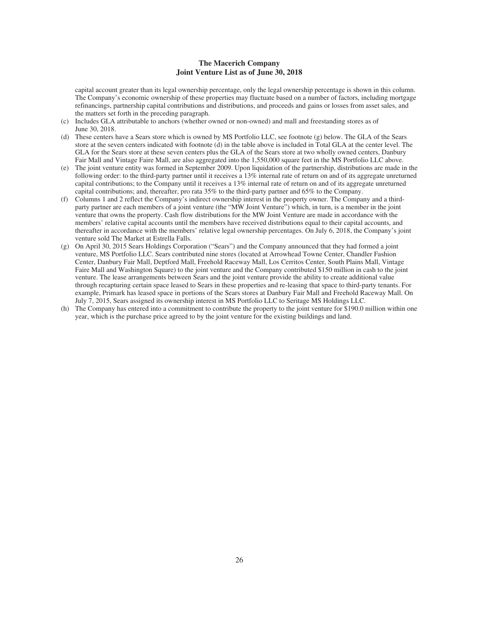### **The Macerich Company Joint Venture List as of June 30, 2018**

capital account greater than its legal ownership percentage, only the legal ownership percentage is shown in this column. The Company's economic ownership of these properties may fluctuate based on a number of factors, including mortgage refinancings, partnership capital contributions and distributions, and proceeds and gains or losses from asset sales, and the matters set forth in the preceding paragraph.

- (c) Includes GLA attributable to anchors (whether owned or non-owned) and mall and freestanding stores as of June 30, 2018.
- (d) These centers have a Sears store which is owned by MS Portfolio LLC, see footnote (g) below. The GLA of the Sears store at the seven centers indicated with footnote (d) in the table above is included in Total GLA at the center level. The GLA for the Sears store at these seven centers plus the GLA of the Sears store at two wholly owned centers, Danbury Fair Mall and Vintage Faire Mall, are also aggregated into the 1,550,000 square feet in the MS Portfolio LLC above.
- (e) The joint venture entity was formed in September 2009. Upon liquidation of the partnership, distributions are made in the following order: to the third-party partner until it receives a 13% internal rate of return on and of its aggregate unreturned capital contributions; to the Company until it receives a 13% internal rate of return on and of its aggregate unreturned capital contributions; and, thereafter, pro rata 35% to the third-party partner and 65% to the Company.
- (f) Columns 1 and 2 reflect the Company's indirect ownership interest in the property owner. The Company and a thirdparty partner are each members of a joint venture (the "MW Joint Venture") which, in turn, is a member in the joint venture that owns the property. Cash flow distributions for the MW Joint Venture are made in accordance with the members' relative capital accounts until the members have received distributions equal to their capital accounts, and thereafter in accordance with the members' relative legal ownership percentages. On July 6, 2018, the Company's joint venture sold The Market at Estrella Falls.
- (g) On April 30, 2015 Sears Holdings Corporation ("Sears") and the Company announced that they had formed a joint venture, MS Portfolio LLC. Sears contributed nine stores (located at Arrowhead Towne Center, Chandler Fashion Center, Danbury Fair Mall, Deptford Mall, Freehold Raceway Mall, Los Cerritos Center, South Plains Mall, Vintage Faire Mall and Washington Square) to the joint venture and the Company contributed \$150 million in cash to the joint venture. The lease arrangements between Sears and the joint venture provide the ability to create additional value through recapturing certain space leased to Sears in these properties and re-leasing that space to third-party tenants. For example, Primark has leased space in portions of the Sears stores at Danbury Fair Mall and Freehold Raceway Mall. On July 7, 2015, Sears assigned its ownership interest in MS Portfolio LLC to Seritage MS Holdings LLC.
- (h) The Company has entered into a commitment to contribute the property to the joint venture for \$190.0 million within one year, which is the purchase price agreed to by the joint venture for the existing buildings and land.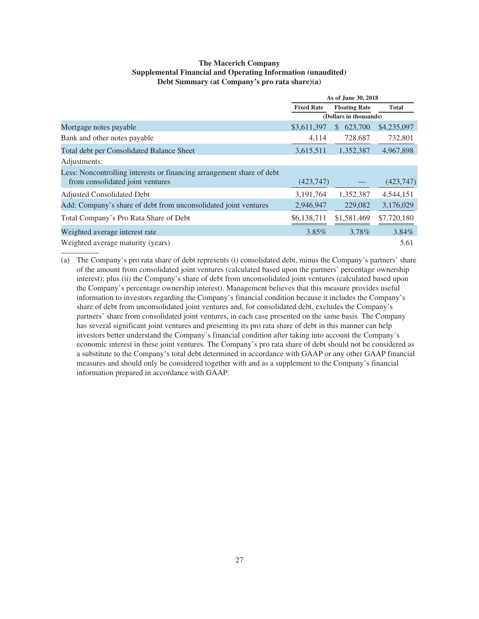### **The Macerich Company Supplemental Financial and Operating Information (unaudited) Debt Summary (at Company's pro rata share)(a)**

|                                                                       |                   | As of June 30, 2018    |              |
|-----------------------------------------------------------------------|-------------------|------------------------|--------------|
|                                                                       | <b>Fixed Rate</b> | <b>Floating Rate</b>   | <b>Total</b> |
|                                                                       |                   | (Dollars in thousands) |              |
| Mortgage notes payable                                                | \$3,611,397       | 623,700<br>S.          | \$4,235,097  |
| Bank and other notes payable                                          | 4,114             | 728,687                | 732,801      |
| Total debt per Consolidated Balance Sheet                             | 3,615,511         | 1,352,387              | 4,967,898    |
| Adjustments:                                                          |                   |                        |              |
| Less: Noncontrolling interests or financing arrangement share of debt |                   |                        |              |
| from consolidated joint ventures                                      | (423, 747)        |                        | (423, 747)   |
| <b>Adjusted Consolidated Debt</b>                                     | 3,191,764         | 1,352,387              | 4,544,151    |
| Add: Company's share of debt from unconsolidated joint ventures       | 2,946,947         | 229,082                | 3,176,029    |
| Total Company's Pro Rata Share of Debt                                | \$6,138,711       | \$1,581,469            | \$7,720,180  |
| Weighted average interest rate                                        | 3.85%             | 3.78%                  | 3.84%        |
| Weighted average maturity (years)                                     |                   |                        | 5.61         |

(a) The Company's pro rata share of debt represents (i) consolidated debt, minus the Company's partners' share of the amount from consolidated joint ventures (calculated based upon the partners' percentage ownership interest); plus (ii) the Company's share of debt from unconsolidated joint ventures (calculated based upon the Company's percentage ownership interest). Management believes that this measure provides useful information to investors regarding the Company's financial condition because it includes the Company's share of debt from unconsolidated joint ventures and, for consolidated debt, excludes the Company's partners' share from consolidated joint ventures, in each case presented on the same basis. The Company has several significant joint ventures and presenting its pro rata share of debt in this manner can help investors better understand the Company's financial condition after taking into account the Company's economic interest in these joint ventures. The Company's pro rata share of debt should not be considered as a substitute to the Company's total debt determined in accordance with GAAP or any other GAAP financial measures and should only be considered together with and as a supplement to the Company's financial information prepared in accordance with GAAP.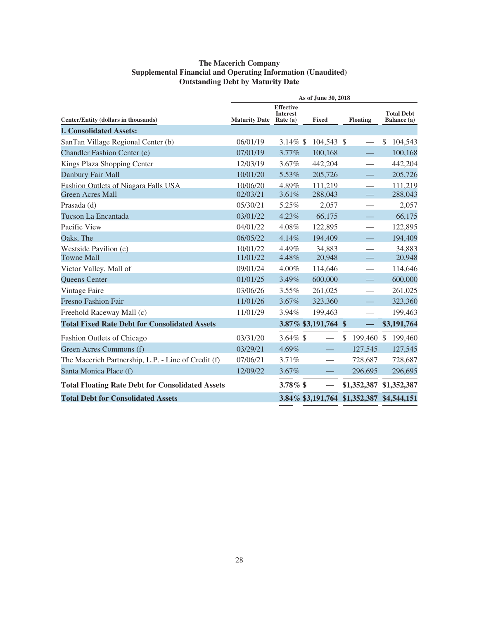### **The Macerich Company Supplemental Financial and Operating Information (Unaudited) Outstanding Debt by Maturity Date**

|                                                                 |                      |                                                   | As of June 30, 2018  |                               |                                  |
|-----------------------------------------------------------------|----------------------|---------------------------------------------------|----------------------|-------------------------------|----------------------------------|
| Center/Entity (dollars in thousands)                            | <b>Maturity Date</b> | <b>Effective</b><br><b>Interest</b><br>Rate $(a)$ | <b>Fixed</b>         | <b>Floating</b>               | <b>Total Debt</b><br>Balance (a) |
| <b>I. Consolidated Assets:</b>                                  |                      |                                                   |                      |                               |                                  |
| SanTan Village Regional Center (b)                              | 06/01/19             | 3.14% $$$                                         | 104,543 \$           |                               | \$<br>104,543                    |
| Chandler Fashion Center (c)                                     | 07/01/19             | 3.77%                                             | 100,168              |                               | 100,168                          |
| Kings Plaza Shopping Center                                     | 12/03/19             | 3.67%                                             | 442,204              |                               | 442,204                          |
| Danbury Fair Mall                                               | 10/01/20             | 5.53%                                             | 205,726              |                               | 205,726                          |
| Fashion Outlets of Niagara Falls USA<br><b>Green Acres Mall</b> | 10/06/20<br>02/03/21 | 4.89%<br>3.61%                                    | 111,219<br>288,043   |                               | 111,219<br>288,043               |
| Prasada (d)                                                     | 05/30/21             | 5.25%                                             | 2,057                |                               | 2,057                            |
| Tucson La Encantada                                             | 03/01/22             | 4.23%                                             | 66,175               |                               | 66,175                           |
| Pacific View                                                    | 04/01/22             | 4.08%                                             | 122,895              |                               | 122,895                          |
| Oaks, The                                                       | 06/05/22             | 4.14%                                             | 194,409              |                               | 194,409                          |
| Westside Pavilion (e)<br><b>Towne Mall</b>                      | 10/01/22<br>11/01/22 | 4.49%<br>4.48%                                    | 34,883<br>20,948     |                               | 34,883<br>20,948                 |
| Victor Valley, Mall of                                          | 09/01/24             | $4.00\%$                                          | 114,646              |                               | 114,646                          |
| Queens Center                                                   | 01/01/25             | 3.49%                                             | 600,000              |                               | 600,000                          |
| Vintage Faire                                                   | 03/06/26             | 3.55%                                             | 261,025              |                               | 261,025                          |
| <b>Fresno Fashion Fair</b>                                      | 11/01/26             | 3.67%                                             | 323,360              |                               | 323,360                          |
| Freehold Raceway Mall (c)                                       | 11/01/29             | 3.94%                                             | 199,463              |                               | 199,463                          |
| <b>Total Fixed Rate Debt for Consolidated Assets</b>            |                      |                                                   | 3.87% \$3,191,764 \$ |                               | \$3,191,764                      |
| Fashion Outlets of Chicago                                      | 03/31/20             | 3.64% $$$                                         |                      | \$<br>199,460 \$              | 199,460                          |
| Green Acres Commons (f)                                         | 03/29/21             | 4.69%                                             |                      | 127,545                       | 127,545                          |
| The Macerich Partnership, L.P. - Line of Credit (f)             | 07/06/21             | 3.71%                                             | ÷.                   | 728,687                       | 728,687                          |
| Santa Monica Place (f)                                          | 12/09/22             | 3.67%                                             |                      | 296,695                       | 296,695                          |
| <b>Total Floating Rate Debt for Consolidated Assets</b>         |                      | $3.78\%$ \$                                       |                      | \$1,352,387                   | \$1,352,387                      |
| <b>Total Debt for Consolidated Assets</b>                       |                      |                                                   |                      | 3.84% \$3,191,764 \$1,352,387 | \$4,544,151                      |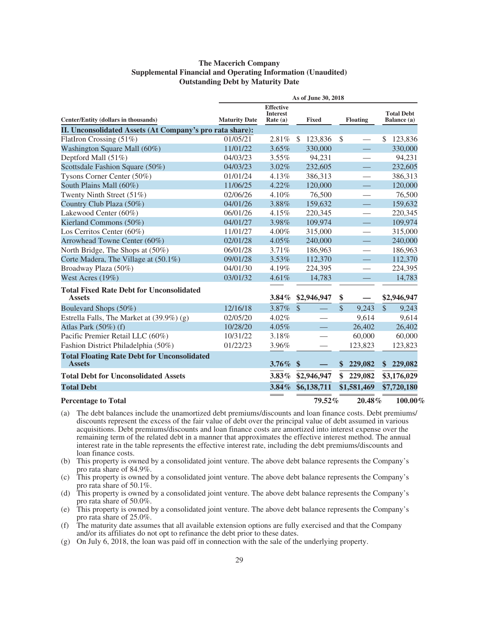### **The Macerich Company Supplemental Financial and Operating Information (Unaudited) Outstanding Debt by Maturity Date**

|                                                                     |                      |                                                   | As of June 30, 2018     |               |                          |               |                                  |
|---------------------------------------------------------------------|----------------------|---------------------------------------------------|-------------------------|---------------|--------------------------|---------------|----------------------------------|
| Center/Entity (dollars in thousands)                                | <b>Maturity Date</b> | <b>Effective</b><br><b>Interest</b><br>Rate $(a)$ | <b>Fixed</b>            |               | <b>Floating</b>          |               | <b>Total Debt</b><br>Balance (a) |
| II. Unconsolidated Assets (At Company's pro rata share):            |                      |                                                   |                         |               |                          |               |                                  |
| FlatIron Crossing (51%)                                             | 01/05/21             | 2.81%                                             | $\mathbb{S}$<br>123,836 | \$            |                          | \$            | 123,836                          |
| Washington Square Mall (60%)                                        | 11/01/22             | 3.65%                                             | 330,000                 |               |                          |               | 330,000                          |
| Deptford Mall (51%)                                                 | 04/03/23             | 3.55%                                             | 94,231                  |               |                          |               | 94,231                           |
| Scottsdale Fashion Square (50%)                                     | 04/03/23             | 3.02%                                             | 232,605                 |               |                          |               | 232,605                          |
| Tysons Corner Center (50%)                                          | 01/01/24             | 4.13%                                             | 386,313                 |               |                          |               | 386,313                          |
| South Plains Mall (60%)                                             | 11/06/25             | 4.22%                                             | 120,000                 |               |                          |               | 120,000                          |
| Twenty Ninth Street (51%)                                           | 02/06/26             | 4.10%                                             | 76,500                  |               | —                        |               | 76,500                           |
| Country Club Plaza (50%)                                            | 04/01/26             | 3.88%                                             | 159,632                 |               |                          |               | 159,632                          |
| Lakewood Center (60%)                                               | 06/01/26             | 4.15%                                             | 220,345                 |               |                          |               | 220,345                          |
| Kierland Commons (50%)                                              | 04/01/27             | 3.98%                                             | 109,974                 |               |                          |               | 109,974                          |
| Los Cerritos Center (60%)                                           | 11/01/27             | 4.00%                                             | 315,000                 |               | $\overline{\phantom{0}}$ |               | 315,000                          |
| Arrowhead Towne Center (60%)                                        | 02/01/28             | 4.05%                                             | 240,000                 |               |                          |               | 240,000                          |
| North Bridge, The Shops at (50%)                                    | 06/01/28             | 3.71%                                             | 186,963                 |               | $\overline{\phantom{0}}$ |               | 186,963                          |
| Corte Madera, The Village at (50.1%)                                | 09/01/28             | 3.53%                                             | 112,370                 |               |                          |               | 112,370                          |
| Broadway Plaza (50%)                                                | 04/01/30             | 4.19%                                             | 224,395                 |               |                          |               | 224,395                          |
| West Acres (19%)                                                    | 03/01/32             | 4.61%                                             | 14,783                  |               |                          |               | 14,783                           |
| <b>Total Fixed Rate Debt for Unconsolidated</b><br><b>Assets</b>    |                      | $3.84\%$                                          | \$2,946,947             | \$            |                          |               | \$2,946,947                      |
| Boulevard Shops (50%)                                               | 12/16/18             | 3.87%                                             | $\mathcal{S}$           | $\mathbb{S}$  | 9,243                    | $\mathcal{S}$ | 9,243                            |
| Estrella Falls, The Market at (39.9%) (g)                           | 02/05/20             | $4.02\%$                                          |                         |               | 9,614                    |               | 9,614                            |
| Atlas Park $(50\%)$ (f)                                             | 10/28/20             | $4.05\%$                                          |                         |               | 26,402                   |               | 26,402                           |
| Pacific Premier Retail LLC (60%)                                    | 10/31/22             | 3.18%                                             |                         |               | 60,000                   |               | 60,000                           |
| Fashion District Philadelphia (50%)                                 | 01/22/23             | 3.96%                                             |                         |               | 123,823                  |               | 123,823                          |
| <b>Total Floating Rate Debt for Unconsolidated</b><br><b>Assets</b> |                      | 3.76% \$                                          |                         | $\mathbf{\$}$ | 229,082                  |               | \$229,082                        |
| <b>Total Debt for Unconsolidated Assets</b>                         |                      | $3.83\%$                                          | \$2,946,947             | \$            | 229,082                  |               | \$3,176,029                      |
| <b>Total Debt</b>                                                   |                      | $3.84\%$                                          | \$6,138,711             |               | \$1,581,469              |               | \$7,720,180                      |
| <b>Percentage to Total</b>                                          |                      |                                                   | 79.52%                  |               | $20.48\%$                |               | $100.00\%$                       |

- (a) The debt balances include the unamortized debt premiums/discounts and loan finance costs. Debt premiums/ discounts represent the excess of the fair value of debt over the principal value of debt assumed in various acquisitions. Debt premiums/discounts and loan finance costs are amortized into interest expense over the remaining term of the related debt in a manner that approximates the effective interest method. The annual interest rate in the table represents the effective interest rate, including the debt premiums/discounts and loan finance costs.
- (b) This property is owned by a consolidated joint venture. The above debt balance represents the Company's pro rata share of 84.9%.
- (c) This property is owned by a consolidated joint venture. The above debt balance represents the Company's pro rata share of 50.1%.
- (d) This property is owned by a consolidated joint venture. The above debt balance represents the Company's pro rata share of 50.0%.
- (e) This property is owned by a consolidated joint venture. The above debt balance represents the Company's pro rata share of 25.0%.
- (f) The maturity date assumes that all available extension options are fully exercised and that the Company and/or its affiliates do not opt to refinance the debt prior to these dates.
- (g) On July 6, 2018, the loan was paid off in connection with the sale of the underlying property.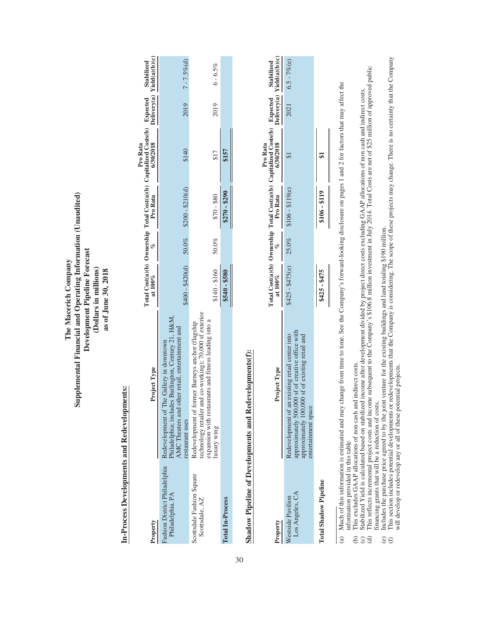## In-Process Developments and Redevelopments: **In-Process Developments and Redevelopments:**

| Property                                    | Project Type                                                                                                                                                                                        |                          |       |                  | Total Cost(a)(b) Ownership Total Cost(a)(b) Capitalized Costs(b) Expected Stabilized<br>at 100% $\%$ Pro Rata (6) Salong Delivery(a) Yield(a)(b)(c)<br>Pro Rata |      |                        |
|---------------------------------------------|-----------------------------------------------------------------------------------------------------------------------------------------------------------------------------------------------------|--------------------------|-------|------------------|-----------------------------------------------------------------------------------------------------------------------------------------------------------------|------|------------------------|
| Philadelphia, PA                            | Philadelphia; includes Burlington, Century 21, H&M,<br>AMC Theaters and other retail, entertainment and<br>ashion District Philadelphia Redevelopment of The Gallery in downtown<br>restaurant uses | $$400 - $420(d) $50.0\%$ |       | $$200 - $210(d)$ | \$140                                                                                                                                                           |      | $2019$ $7 - 7.5\%$ (d) |
| Scottsdale Fashion Square<br>Scottsdale, AZ | technology retailer and co-working); 70,000 sf exterior<br>expansion with restaurants and fitness leading into a<br>Redevelopment of former Barneys anchor (flagship<br>uxury wing                  | $$140 - $160$            | 50.0% | $0.85 - 0.4$     | \$17                                                                                                                                                            | 2019 | $6 - 6.5\%$            |
| <b>Total In-Process</b>                     |                                                                                                                                                                                                     | 3540 - \$580             |       | $$270 - $290$    | \$157                                                                                                                                                           |      |                        |
|                                             |                                                                                                                                                                                                     |                          |       |                  |                                                                                                                                                                 |      |                        |

# Shadow Pipeline of Developments and Redevelopments(f): **Shadow Pipeline of Developments and Redevelopments(f):**

| Property                             | Project Type                                                                                                                                                                    |                                            |               | rotal Cost(a)(b) Ownership Total Cost(a)(b) Capitalized Costs(b) Expected Stabilized<br>at 100% $\frac{\%}{\%}$ Pro Rata $\frac{630/2018}{6/30/2018}$ Delivery(a) Yield(a)(b)(c)<br>Pro Rata |                    |
|--------------------------------------|---------------------------------------------------------------------------------------------------------------------------------------------------------------------------------|--------------------------------------------|---------------|----------------------------------------------------------------------------------------------------------------------------------------------------------------------------------------------|--------------------|
| Los Angeles, CA<br>Vestside Pavilion | approximately 500,000 sf of creative office with<br>deevelopment of an existing retail center into<br>,000 sf of existing retail and<br>ntertainment space<br>pproximately 100, | $$425 - $475(e)$ $25.0\%$ $$106 - $119(e)$ |               |                                                                                                                                                                                              | $2021$ 6.5 - 7%(e) |
| <b>Total Shadow Pipeline</b>         |                                                                                                                                                                                 | $$425 - $475$                              | $$106 - $119$ |                                                                                                                                                                                              |                    |

Much of this information is estimated and may change from time to time. See the Company's forward-looking disclosure on pages 1 and 2 for factors that may affect the (a) Much of this information is estimated and may change from time to time. See the Company's forward-looking disclosure on pages 1 and 2 for factors that may affect the information provided in this table information provided in this table  $\widehat{a}$ 

(b) This excludes GAAP allocations of non cash and indirect costs.

(c) Stabilized Yield is calculated based on stabilized income after development divided by project direct costs excluding GAAP allocations of non cash and indirect costs. **Sce** 

(d) This reflects incremental project costs and income subsequent to the Company's \$106.8 million investment in July 2014. Total Costs are net of \$25 million of approved public financing grants that will be a reduction of costs.

(e) Includes the purchase price agreed to by the joint venture for the existing buildings and land totaling \$190 million.  $\widehat{\mathbb{C}}\oplus$ 

This excludes GAAP allocations of non cash and indirect costs.<br>Stabilized Yield is calculated based on stabilized income after development divided by project direct costs excluding GAAP allocations of non cash and indirect (f) This section includes potential developments or redevelopments that the Company is considering. The scope of these projects may change. There is no certainty that the Company will develop or redevelop any or all of these potential projects.